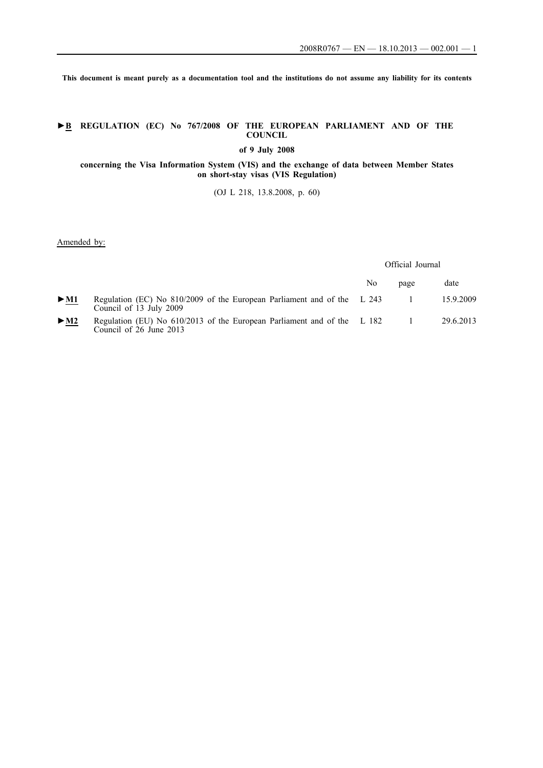**This document is meant purely as a documentation tool and the institutions do not assume any liability for its contents**

## **►B REGULATION (EC) No 767/2008 OF THE EUROPEAN PARLIAMENT AND OF THE COUNCIL**

**of 9 July 2008**

**concerning the Visa Information System (VIS) and the exchange of data between Member States on short-stay visas (VIS Regulation)**

(OJ L 218, 13.8.2008, p. 60)

Amended by:

Official Journal

|                            |                                                                                                    | No | page | date      |
|----------------------------|----------------------------------------------------------------------------------------------------|----|------|-----------|
| $\triangleright$ <u>M1</u> | Regulation (EC) No 810/2009 of the European Parliament and of the L 243<br>Council of 13 July 2009 |    |      | 15.9.2009 |
| $>$ M2                     | Regulation (EU) No 610/2013 of the European Parliament and of the L 182<br>Council of 26 June 2013 |    |      | 29.6.2013 |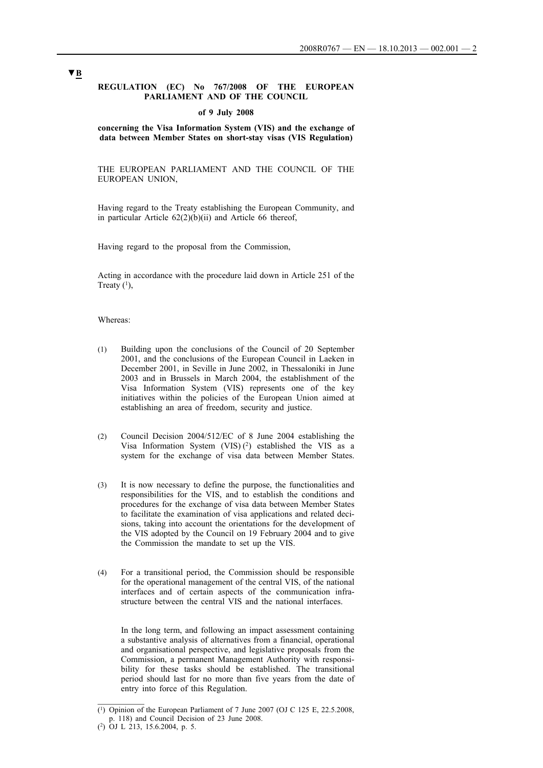### **REGULATION (EC) No 767/2008 OF THE EUROPEAN PARLIAMENT AND OF THE COUNCIL**

#### **of 9 July 2008**

**concerning the Visa Information System (VIS) and the exchange of data between Member States on short-stay visas (VIS Regulation)**

THE EUROPEAN PARLIAMENT AND THE COUNCIL OF THE EUROPEAN UNION,

Having regard to the Treaty establishing the European Community, and in particular Article 62(2)(b)(ii) and Article 66 thereof,

Having regard to the proposal from the Commission,

Acting in accordance with the procedure laid down in Article 251 of the Treaty  $(1)$ ,

#### Whereas:

- (1) Building upon the conclusions of the Council of 20 September 2001, and the conclusions of the European Council in Laeken in December 2001, in Seville in June 2002, in Thessaloniki in June 2003 and in Brussels in March 2004, the establishment of the Visa Information System (VIS) represents one of the key initiatives within the policies of the European Union aimed at establishing an area of freedom, security and justice.
- (2) Council Decision 2004/512/EC of 8 June 2004 establishing the Visa Information System (VIS) (2) established the VIS as a system for the exchange of visa data between Member States.
- (3) It is now necessary to define the purpose, the functionalities and responsibilities for the VIS, and to establish the conditions and procedures for the exchange of visa data between Member States to facilitate the examination of visa applications and related decisions, taking into account the orientations for the development of the VIS adopted by the Council on 19 February 2004 and to give the Commission the mandate to set up the VIS.
- (4) For a transitional period, the Commission should be responsible for the operational management of the central VIS, of the national interfaces and of certain aspects of the communication infrastructure between the central VIS and the national interfaces.

In the long term, and following an impact assessment containing a substantive analysis of alternatives from a financial, operational and organisational perspective, and legislative proposals from the Commission, a permanent Management Authority with responsibility for these tasks should be established. The transitional period should last for no more than five years from the date of entry into force of this Regulation.

<sup>(1)</sup> Opinion of the European Parliament of 7 June 2007 (OJ C 125 E, 22.5.2008,

p. 118) and Council Decision of 23 June 2008.

<sup>(2)</sup> OJ L 213, 15.6.2004, p. 5.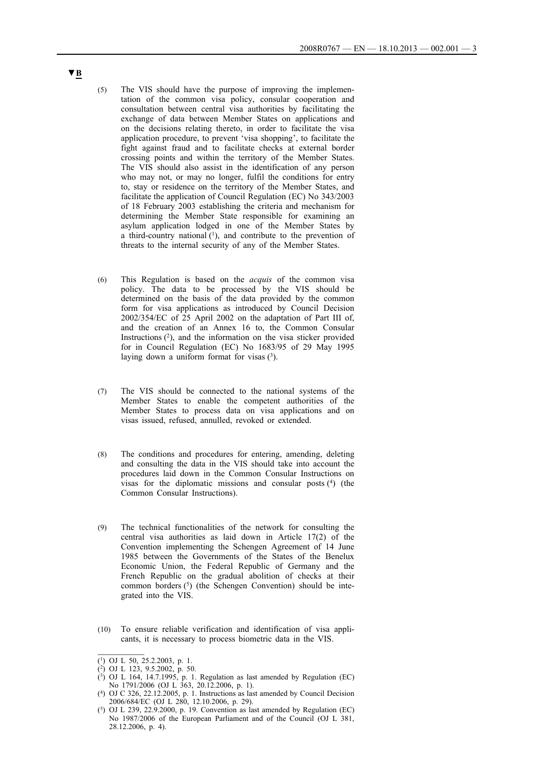- (5) The VIS should have the purpose of improving the implementation of the common visa policy, consular cooperation and consultation between central visa authorities by facilitating the exchange of data between Member States on applications and on the decisions relating thereto, in order to facilitate the visa application procedure, to prevent 'visa shopping', to facilitate the fight against fraud and to facilitate checks at external border crossing points and within the territory of the Member States. The VIS should also assist in the identification of any person who may not, or may no longer, fulfil the conditions for entry to, stay or residence on the territory of the Member States, and facilitate the application of Council Regulation (EC) No 343/2003 of 18 February 2003 establishing the criteria and mechanism for determining the Member State responsible for examining an asylum application lodged in one of the Member States by a third-country national  $(1)$ , and contribute to the prevention of threats to the internal security of any of the Member States.
- (6) This Regulation is based on the *acquis* of the common visa policy. The data to be processed by the VIS should be determined on the basis of the data provided by the common form for visa applications as introduced by Council Decision 2002/354/EC of 25 April 2002 on the adaptation of Part III of, and the creation of an Annex 16 to, the Common Consular Instructions  $(2)$ , and the information on the visa sticker provided for in Council Regulation (EC) No 1683/95 of 29 May 1995 laying down a uniform format for visas  $(3)$ .
- (7) The VIS should be connected to the national systems of the Member States to enable the competent authorities of the Member States to process data on visa applications and on visas issued, refused, annulled, revoked or extended.
- (8) The conditions and procedures for entering, amending, deleting and consulting the data in the VIS should take into account the procedures laid down in the Common Consular Instructions on visas for the diplomatic missions and consular posts  $(4)$  (the Common Consular Instructions).
- (9) The technical functionalities of the network for consulting the central visa authorities as laid down in Article 17(2) of the Convention implementing the Schengen Agreement of 14 June 1985 between the Governments of the States of the Benelux Economic Union, the Federal Republic of Germany and the French Republic on the gradual abolition of checks at their common borders  $(5)$  (the Schengen Convention) should be integrated into the VIS.
- (10) To ensure reliable verification and identification of visa applicants, it is necessary to process biometric data in the VIS.

 $(1)$  OJ L 50, 25.2.2003, p. 1.

<sup>(2)</sup> OJ L 123, 9.5.2002, p. 50.

 $(3)$  OJ L 164, 14.7.1995, p. 1. Regulation as last amended by Regulation (EC) No 1791/2006 (OJ L 363, 20.12.2006, p. 1).

<sup>(4)</sup> OJ C 326, 22.12.2005, p. 1. Instructions as last amended by Council Decision 2006/684/EC (OJ L 280, 12.10.2006, p. 29).

 $(5)$  OJ L 239, 22.9.2000, p. 19. Convention as last amended by Regulation (EC) No 1987/2006 of the European Parliament and of the Council (OJ L 381, 28.12.2006, p. 4).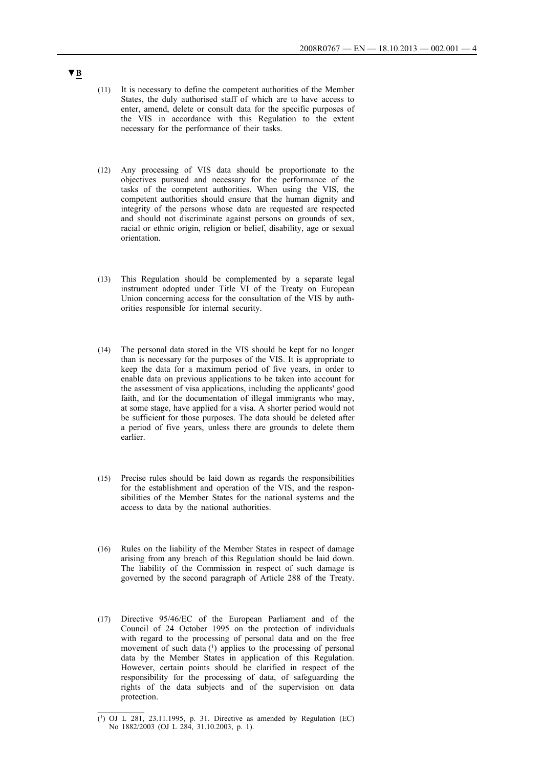- (11) It is necessary to define the competent authorities of the Member States, the duly authorised staff of which are to have access to enter, amend, delete or consult data for the specific purposes of the VIS in accordance with this Regulation to the extent necessary for the performance of their tasks.
- (12) Any processing of VIS data should be proportionate to the objectives pursued and necessary for the performance of the tasks of the competent authorities. When using the VIS, the competent authorities should ensure that the human dignity and integrity of the persons whose data are requested are respected and should not discriminate against persons on grounds of sex, racial or ethnic origin, religion or belief, disability, age or sexual orientation.
- (13) This Regulation should be complemented by a separate legal instrument adopted under Title VI of the Treaty on European Union concerning access for the consultation of the VIS by authorities responsible for internal security.
- (14) The personal data stored in the VIS should be kept for no longer than is necessary for the purposes of the VIS. It is appropriate to keep the data for a maximum period of five years, in order to enable data on previous applications to be taken into account for the assessment of visa applications, including the applicants' good faith, and for the documentation of illegal immigrants who may, at some stage, have applied for a visa. A shorter period would not be sufficient for those purposes. The data should be deleted after a period of five years, unless there are grounds to delete them earlier.
- (15) Precise rules should be laid down as regards the responsibilities for the establishment and operation of the VIS, and the responsibilities of the Member States for the national systems and the access to data by the national authorities.
- (16) Rules on the liability of the Member States in respect of damage arising from any breach of this Regulation should be laid down. The liability of the Commission in respect of such damage is governed by the second paragraph of Article 288 of the Treaty.
- (17) Directive 95/46/EC of the European Parliament and of the Council of 24 October 1995 on the protection of individuals with regard to the processing of personal data and on the free movement of such data (1) applies to the processing of personal data by the Member States in application of this Regulation. However, certain points should be clarified in respect of the responsibility for the processing of data, of safeguarding the rights of the data subjects and of the supervision on data protection.

<sup>(1)</sup> OJ L 281, 23.11.1995, p. 31. Directive as amended by Regulation (EC) No 1882/2003 (OJ L 284, 31.10.2003, p. 1).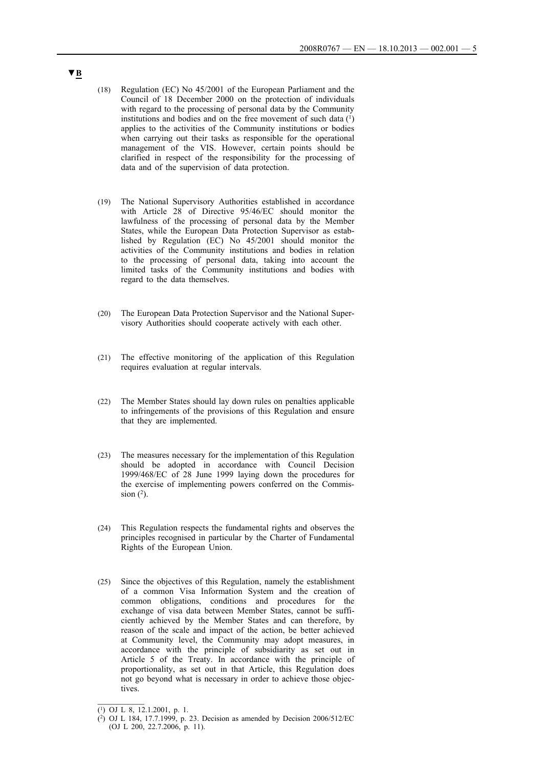- (18) Regulation (EC) No 45/2001 of the European Parliament and the Council of 18 December 2000 on the protection of individuals with regard to the processing of personal data by the Community institutions and bodies and on the free movement of such data  $(1)$ applies to the activities of the Community institutions or bodies when carrying out their tasks as responsible for the operational management of the VIS. However, certain points should be clarified in respect of the responsibility for the processing of data and of the supervision of data protection.
- (19) The National Supervisory Authorities established in accordance with Article 28 of Directive 95/46/EC should monitor the lawfulness of the processing of personal data by the Member States, while the European Data Protection Supervisor as established by Regulation (EC) No 45/2001 should monitor the activities of the Community institutions and bodies in relation to the processing of personal data, taking into account the limited tasks of the Community institutions and bodies with regard to the data themselves.
- (20) The European Data Protection Supervisor and the National Supervisory Authorities should cooperate actively with each other.
- (21) The effective monitoring of the application of this Regulation requires evaluation at regular intervals.
- (22) The Member States should lay down rules on penalties applicable to infringements of the provisions of this Regulation and ensure that they are implemented.
- (23) The measures necessary for the implementation of this Regulation should be adopted in accordance with Council Decision 1999/468/EC of 28 June 1999 laying down the procedures for the exercise of implementing powers conferred on the Commission  $(2)$ .
- (24) This Regulation respects the fundamental rights and observes the principles recognised in particular by the Charter of Fundamental Rights of the European Union.
- (25) Since the objectives of this Regulation, namely the establishment of a common Visa Information System and the creation of common obligations, conditions and procedures for the exchange of visa data between Member States, cannot be sufficiently achieved by the Member States and can therefore, by reason of the scale and impact of the action, be better achieved at Community level, the Community may adopt measures, in accordance with the principle of subsidiarity as set out in Article 5 of the Treaty. In accordance with the principle of proportionality, as set out in that Article, this Regulation does not go beyond what is necessary in order to achieve those objectives.

<sup>(1)</sup> OJ L 8, 12.1.2001, p. 1.

 $(2)$  OJ L 184, 17.7.1999, p. 23. Decision as amended by Decision 2006/512/EC (OJ L 200, 22.7.2006, p. 11).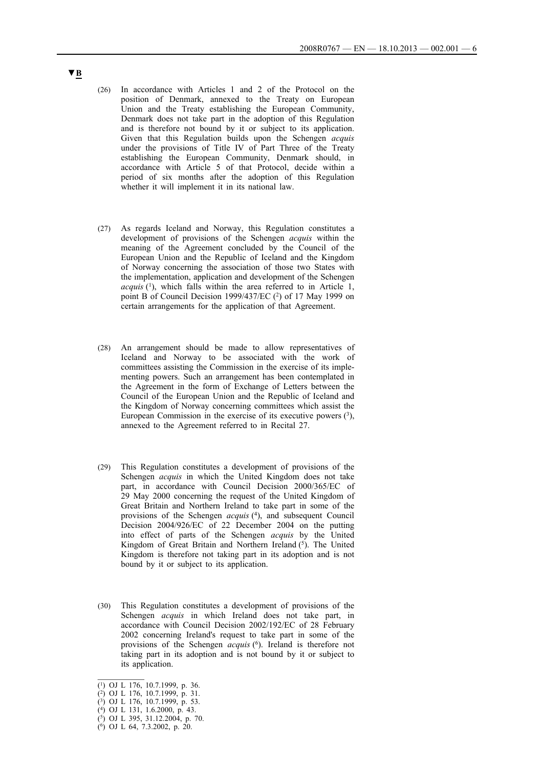- (26) In accordance with Articles 1 and 2 of the Protocol on the position of Denmark, annexed to the Treaty on European Union and the Treaty establishing the European Community, Denmark does not take part in the adoption of this Regulation and is therefore not bound by it or subject to its application. Given that this Regulation builds upon the Schengen *acquis* under the provisions of Title IV of Part Three of the Treaty establishing the European Community, Denmark should, in accordance with Article 5 of that Protocol, decide within a period of six months after the adoption of this Regulation whether it will implement it in its national law.
- (27) As regards Iceland and Norway, this Regulation constitutes a development of provisions of the Schengen *acquis* within the meaning of the Agreement concluded by the Council of the European Union and the Republic of Iceland and the Kingdom of Norway concerning the association of those two States with the implementation, application and development of the Schengen *acquis*  $(1)$ , which falls within the area referred to in Article 1, point B of Council Decision 1999/437/EC (2) of 17 May 1999 on certain arrangements for the application of that Agreement.
- (28) An arrangement should be made to allow representatives of Iceland and Norway to be associated with the work of committees assisting the Commission in the exercise of its implementing powers. Such an arrangement has been contemplated in the Agreement in the form of Exchange of Letters between the Council of the European Union and the Republic of Iceland and the Kingdom of Norway concerning committees which assist the European Commission in the exercise of its executive powers  $(3)$ , annexed to the Agreement referred to in Recital 27.
- (29) This Regulation constitutes a development of provisions of the Schengen *acquis* in which the United Kingdom does not take part, in accordance with Council Decision 2000/365/EC of 29 May 2000 concerning the request of the United Kingdom of Great Britain and Northern Ireland to take part in some of the provisions of the Schengen *acquis* (4), and subsequent Council Decision 2004/926/EC of 22 December 2004 on the putting into effect of parts of the Schengen *acquis* by the United Kingdom of Great Britain and Northern Ireland  $(5)$ . The United Kingdom is therefore not taking part in its adoption and is not bound by it or subject to its application.
- (30) This Regulation constitutes a development of provisions of the Schengen *acquis* in which Ireland does not take part, in accordance with Council Decision 2002/192/EC of 28 February 2002 concerning Ireland's request to take part in some of the provisions of the Schengen *acquis* (6). Ireland is therefore not taking part in its adoption and is not bound by it or subject to its application.

<sup>(1)</sup> OJ L 176, 10.7.1999, p. 36.

<sup>(2)</sup> OJ L 176, 10.7.1999, p. 31.

<sup>(3)</sup> OJ L 176, 10.7.1999, p. 53.

<sup>(4)</sup> OJ L 131, 1.6.2000, p. 43. (5) OJ L 395, 31.12.2004, p. 70.

<sup>(6)</sup> OJ L 64, 7.3.2002, p. 20.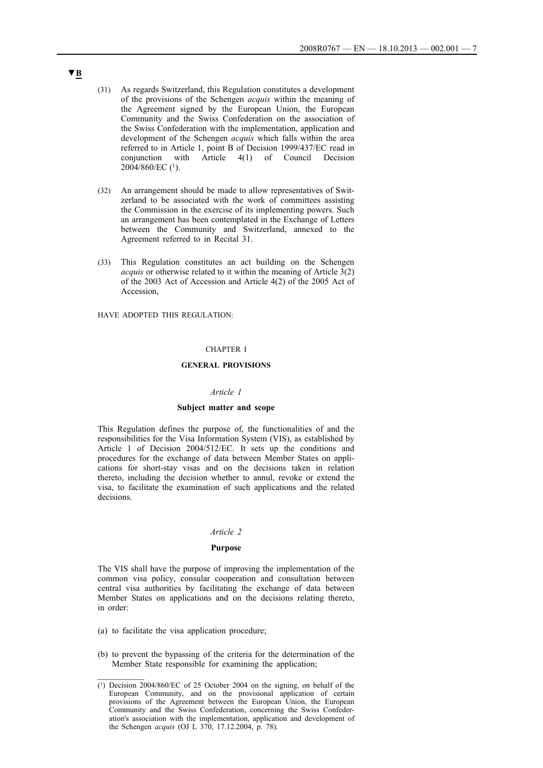- (31) As regards Switzerland, this Regulation constitutes a development of the provisions of the Schengen *acquis* within the meaning of the Agreement signed by the European Union, the European Community and the Swiss Confederation on the association of the Swiss Confederation with the implementation, application and development of the Schengen *acquis* which falls within the area referred to in Article 1, point B of Decision 1999/437/EC read in conjunction with Article 4(1) of Council Decision 2004/860/EC (1).
- (32) An arrangement should be made to allow representatives of Switzerland to be associated with the work of committees assisting the Commission in the exercise of its implementing powers. Such an arrangement has been contemplated in the Exchange of Letters between the Community and Switzerland, annexed to the Agreement referred to in Recital 31.
- (33) This Regulation constitutes an act building on the Schengen *acquis* or otherwise related to it within the meaning of Article 3(2) of the 2003 Act of Accession and Article 4(2) of the 2005 Act of Accession,

HAVE ADOPTED THIS REGULATION:

#### CHAPTER I

#### **GENERAL PROVISIONS**

#### *Article 1*

#### **Subject matter and scope**

This Regulation defines the purpose of, the functionalities of and the responsibilities for the Visa Information System (VIS), as established by Article 1 of Decision 2004/512/EC. It sets up the conditions and procedures for the exchange of data between Member States on applications for short-stay visas and on the decisions taken in relation thereto, including the decision whether to annul, revoke or extend the visa, to facilitate the examination of such applications and the related decisions.

#### *Article 2*

#### **Purpose**

The VIS shall have the purpose of improving the implementation of the common visa policy, consular cooperation and consultation between central visa authorities by facilitating the exchange of data between Member States on applications and on the decisions relating thereto, in order:

- (a) to facilitate the visa application procedure;
- (b) to prevent the bypassing of the criteria for the determination of the Member State responsible for examining the application;

<sup>(1)</sup> Decision 2004/860/EC of 25 October 2004 on the signing, on behalf of the European Community, and on the provisional application of certain provisions of the Agreement between the European Union, the European Community and the Swiss Confederation, concerning the Swiss Confederation's association with the implementation, application and development of the Schengen *acquis* (OJ L 370, 17.12.2004, p. 78).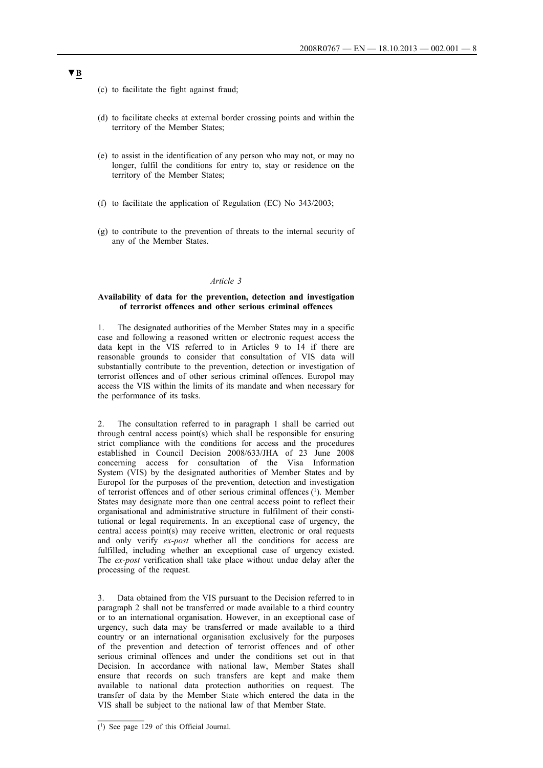- (c) to facilitate the fight against fraud;
- (d) to facilitate checks at external border crossing points and within the territory of the Member States;
- (e) to assist in the identification of any person who may not, or may no longer, fulfil the conditions for entry to, stay or residence on the territory of the Member States;
- (f) to facilitate the application of Regulation (EC) No 343/2003;
- (g) to contribute to the prevention of threats to the internal security of any of the Member States.

#### **Availability of data for the prevention, detection and investigation of terrorist offences and other serious criminal offences**

1. The designated authorities of the Member States may in a specific case and following a reasoned written or electronic request access the data kept in the VIS referred to in Articles 9 to 14 if there are reasonable grounds to consider that consultation of VIS data will substantially contribute to the prevention, detection or investigation of terrorist offences and of other serious criminal offences. Europol may access the VIS within the limits of its mandate and when necessary for the performance of its tasks.

2. The consultation referred to in paragraph 1 shall be carried out through central access point(s) which shall be responsible for ensuring strict compliance with the conditions for access and the procedures established in Council Decision 2008/633/JHA of 23 June 2008 concerning access for consultation of the Visa Information System (VIS) by the designated authorities of Member States and by Europol for the purposes of the prevention, detection and investigation of terrorist offences and of other serious criminal offences (1). Member States may designate more than one central access point to reflect their organisational and administrative structure in fulfilment of their constitutional or legal requirements. In an exceptional case of urgency, the central access point(s) may receive written, electronic or oral requests and only verify *ex-post* whether all the conditions for access are fulfilled, including whether an exceptional case of urgency existed. The *ex-post* verification shall take place without undue delay after the processing of the request.

3. Data obtained from the VIS pursuant to the Decision referred to in paragraph 2 shall not be transferred or made available to a third country or to an international organisation. However, in an exceptional case of urgency, such data may be transferred or made available to a third country or an international organisation exclusively for the purposes of the prevention and detection of terrorist offences and of other serious criminal offences and under the conditions set out in that Decision. In accordance with national law, Member States shall ensure that records on such transfers are kept and make them available to national data protection authorities on request. The transfer of data by the Member State which entered the data in the VIS shall be subject to the national law of that Member State.

<sup>(1)</sup> See page 129 of this Official Journal.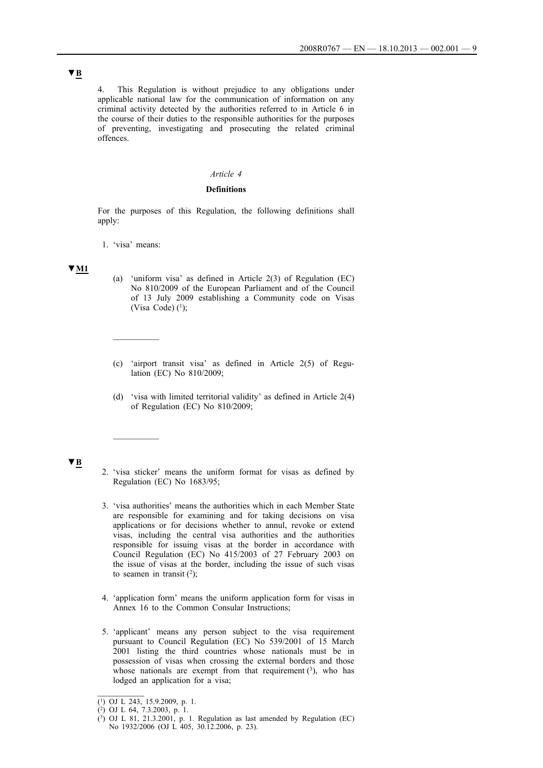4. This Regulation is without prejudice to any obligations under applicable national law for the communication of information on any criminal activity detected by the authorities referred to in Article 6 in the course of their duties to the responsible authorities for the purposes of preventing, investigating and prosecuting the related criminal offences.

#### *Article 4*

### **Definitions**

For the purposes of this Regulation, the following definitions shall apply:

1. 'visa' means:

 $\mathcal{L}_\text{max}$ 

 $\frac{1}{2}$ 

#### **▼M1**

- (a) 'uniform visa' as defined in Article 2(3) of Regulation (EC) No 810/2009 of the European Parliament and of the Council of 13 July 2009 establishing a Community code on Visas (Visa Code) $(1)$ ;
- (c) 'airport transit visa' as defined in Article 2(5) of Regulation (EC) No 810/2009;
- (d) 'visa with limited territorial validity' as defined in Article 2(4) of Regulation (EC) No 810/2009;

### **▼B**

- 2. 'visa sticker' means the uniform format for visas as defined by Regulation (EC) No 1683/95;
- 3. 'visa authorities' means the authorities which in each Member State are responsible for examining and for taking decisions on visa applications or for decisions whether to annul, revoke or extend visas, including the central visa authorities and the authorities responsible for issuing visas at the border in accordance with Council Regulation (EC) No 415/2003 of 27 February 2003 on the issue of visas at the border, including the issue of such visas to seamen in transit  $(2)$ ;
- 4. 'application form' means the uniform application form for visas in Annex 16 to the Common Consular Instructions;
- 5. 'applicant' means any person subject to the visa requirement pursuant to Council Regulation (EC) No 539/2001 of 15 March 2001 listing the third countries whose nationals must be in possession of visas when crossing the external borders and those whose nationals are exempt from that requirement  $(3)$ , who has lodged an application for a visa;

<sup>(1)</sup> OJ L 243, 15.9.2009, p. 1.

<sup>(2)</sup> OJ L 64, 7.3.2003, p. 1.

<sup>(3)</sup> OJ L 81, 21.3.2001, p. 1. Regulation as last amended by Regulation (EC) No 1932/2006 (OJ L 405, 30.12.2006, p. 23).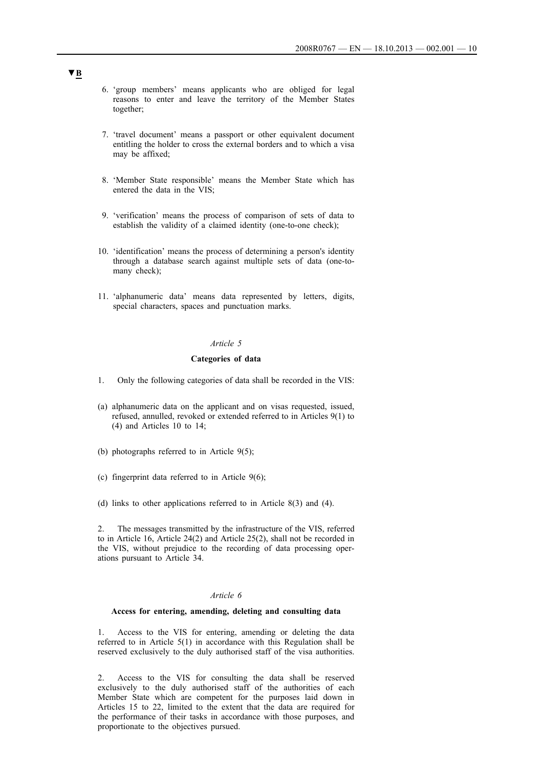- 6. 'group members' means applicants who are obliged for legal reasons to enter and leave the territory of the Member States together;
- 7. 'travel document' means a passport or other equivalent document entitling the holder to cross the external borders and to which a visa may be affixed;
- 8. 'Member State responsible' means the Member State which has entered the data in the VIS;
- 9. 'verification' means the process of comparison of sets of data to establish the validity of a claimed identity (one-to-one check);
- 10. 'identification' means the process of determining a person's identity through a database search against multiple sets of data (one-tomany check);
- 11. 'alphanumeric data' means data represented by letters, digits, special characters, spaces and punctuation marks.

#### **Categories of data**

- 1. Only the following categories of data shall be recorded in the VIS:
- (a) alphanumeric data on the applicant and on visas requested, issued, refused, annulled, revoked or extended referred to in Articles 9(1) to (4) and Articles 10 to 14;
- (b) photographs referred to in Article 9(5);
- (c) fingerprint data referred to in Article 9(6);
- (d) links to other applications referred to in Article 8(3) and (4).

2. The messages transmitted by the infrastructure of the VIS, referred to in Article 16, Article 24(2) and Article 25(2), shall not be recorded in the VIS, without prejudice to the recording of data processing operations pursuant to Article 34.

### *Article 6*

#### **Access for entering, amending, deleting and consulting data**

1. Access to the VIS for entering, amending or deleting the data referred to in Article 5(1) in accordance with this Regulation shall be reserved exclusively to the duly authorised staff of the visa authorities.

2. Access to the VIS for consulting the data shall be reserved exclusively to the duly authorised staff of the authorities of each Member State which are competent for the purposes laid down in Articles 15 to 22, limited to the extent that the data are required for the performance of their tasks in accordance with those purposes, and proportionate to the objectives pursued.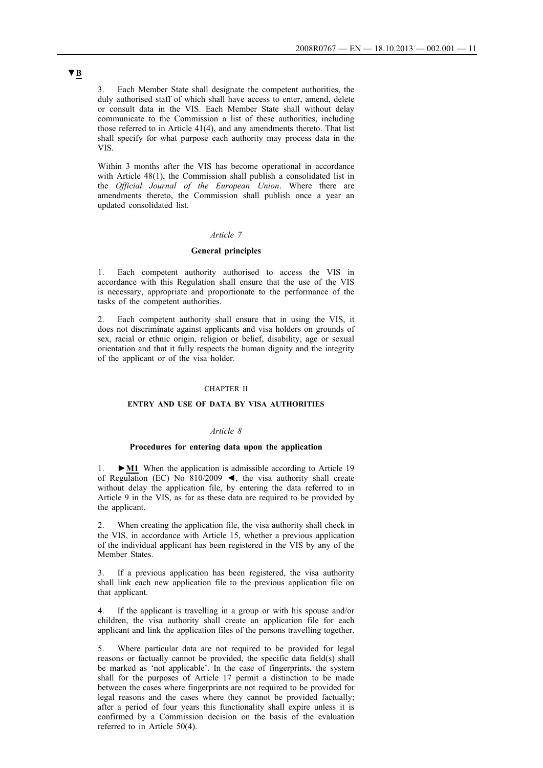3. Each Member State shall designate the competent authorities, the duly authorised staff of which shall have access to enter, amend, delete or consult data in the VIS. Each Member State shall without delay communicate to the Commission a list of these authorities, including those referred to in Article 41(4), and any amendments thereto. That list shall specify for what purpose each authority may process data in the VIS.

Within 3 months after the VIS has become operational in accordance with Article 48(1), the Commission shall publish a consolidated list in the *Official Journal of the European Union*. Where there are amendments thereto, the Commission shall publish once a year an updated consolidated list.

### *Article 7*

### **General principles**

1. Each competent authority authorised to access the VIS in accordance with this Regulation shall ensure that the use of the VIS is necessary, appropriate and proportionate to the performance of the tasks of the competent authorities.

2. Each competent authority shall ensure that in using the VIS, it does not discriminate against applicants and visa holders on grounds of sex, racial or ethnic origin, religion or belief, disability, age or sexual orientation and that it fully respects the human dignity and the integrity of the applicant or of the visa holder.

#### CHAPTER II

#### **ENTRY AND USE OF DATA BY VISA AUTHORITIES**

#### *Article 8*

#### **Procedures for entering data upon the application**

1. **►M1** When the application is admissible according to Article 19 of Regulation (EC) No 810/2009 ◄, the visa authority shall create without delay the application file, by entering the data referred to in Article 9 in the VIS, as far as these data are required to be provided by the applicant.

When creating the application file, the visa authority shall check in the VIS, in accordance with Article 15, whether a previous application of the individual applicant has been registered in the VIS by any of the Member States.

If a previous application has been registered, the visa authority shall link each new application file to the previous application file on that applicant.

If the applicant is travelling in a group or with his spouse and/or children, the visa authority shall create an application file for each applicant and link the application files of the persons travelling together.

5. Where particular data are not required to be provided for legal reasons or factually cannot be provided, the specific data field(s) shall be marked as 'not applicable'. In the case of fingerprints, the system shall for the purposes of Article 17 permit a distinction to be made between the cases where fingerprints are not required to be provided for legal reasons and the cases where they cannot be provided factually; after a period of four years this functionality shall expire unless it is confirmed by a Commission decision on the basis of the evaluation referred to in Article 50(4).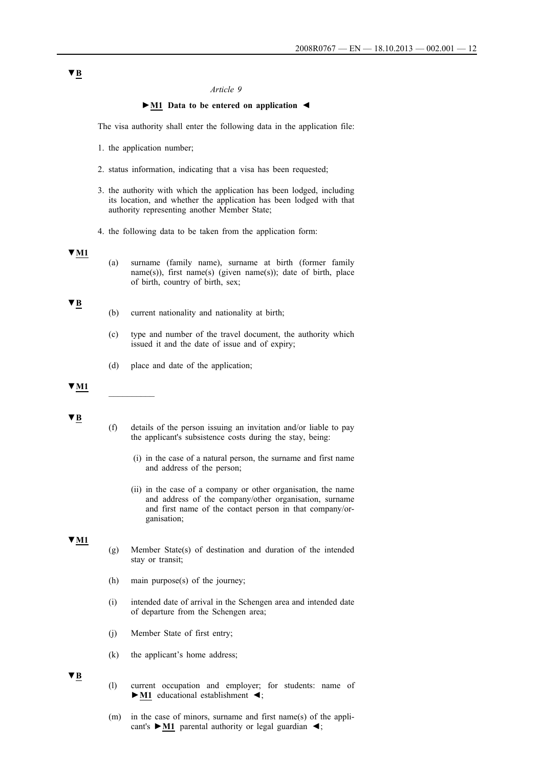### **►M1 Data to be entered on application ◄**

The visa authority shall enter the following data in the application file:

- 1. the application number;
- 2. status information, indicating that a visa has been requested;
- 3. the authority with which the application has been lodged, including its location, and whether the application has been lodged with that authority representing another Member State;
- 4. the following data to be taken from the application form:

### **▼M1**

(a) surname (family name), surname at birth (former family name(s)), first name(s) (given name(s)); date of birth, place of birth, country of birth, sex;

### **▼B**

- (b) current nationality and nationality at birth;
- (c) type and number of the travel document, the authority which issued it and the date of issue and of expiry;
- (d) place and date of the application;

## **▼M1** \_\_\_\_\_\_\_\_\_\_

**▼B**

- (f) details of the person issuing an invitation and/or liable to pay the applicant's subsistence costs during the stay, being:
	- (i) in the case of a natural person, the surname and first name and address of the person;
	- (ii) in the case of a company or other organisation, the name and address of the company/other organisation, surname and first name of the contact person in that company/organisation;

#### **▼M1**

- (g) Member State(s) of destination and duration of the intended stay or transit;
- (h) main purpose(s) of the journey;
- (i) intended date of arrival in the Schengen area and intended date of departure from the Schengen area;
- (j) Member State of first entry;
- (k) the applicant's home address;

## **▼B**

- (l) current occupation and employer; for students: name of **►M1** educational establishment ◄;
- (m) in the case of minors, surname and first name(s) of the applicant's **►M1** parental authority or legal guardian ◄;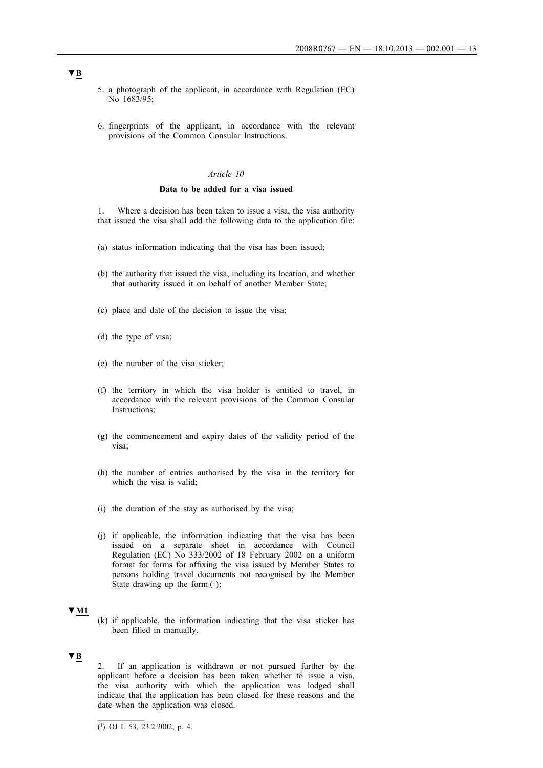- 5. a photograph of the applicant, in accordance with Regulation (EC) No 1683/95;
- 6. fingerprints of the applicant, in accordance with the relevant provisions of the Common Consular Instructions.

#### **Data to be added for a visa issued**

1. Where a decision has been taken to issue a visa, the visa authority that issued the visa shall add the following data to the application file:

- (a) status information indicating that the visa has been issued;
- (b) the authority that issued the visa, including its location, and whether that authority issued it on behalf of another Member State;
- (c) place and date of the decision to issue the visa;
- (d) the type of visa;
- (e) the number of the visa sticker;
- (f) the territory in which the visa holder is entitled to travel, in accordance with the relevant provisions of the Common Consular Instructions;
- (g) the commencement and expiry dates of the validity period of the visa;
- (h) the number of entries authorised by the visa in the territory for which the visa is valid;
- (i) the duration of the stay as authorised by the visa;
- (j) if applicable, the information indicating that the visa has been issued on a separate sheet in accordance with Council Regulation (EC) No 333/2002 of 18 February 2002 on a uniform format for forms for affixing the visa issued by Member States to persons holding travel documents not recognised by the Member State drawing up the form  $(1)$ ;

#### **▼M1**

(k) if applicable, the information indicating that the visa sticker has been filled in manually.

## **▼B**

2. If an application is withdrawn or not pursued further by the applicant before a decision has been taken whether to issue a visa, the visa authority with which the application was lodged shall indicate that the application has been closed for these reasons and the date when the application was closed.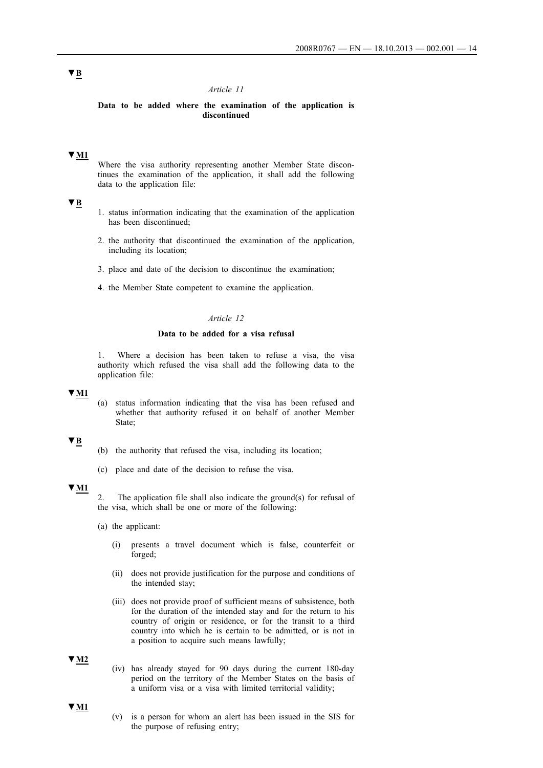## **Data to be added where the examination of the application is discontinued**

## **▼M1**

Where the visa authority representing another Member State discontinues the examination of the application, it shall add the following data to the application file:

## **▼B**

- 1. status information indicating that the examination of the application has been discontinued;
- 2. the authority that discontinued the examination of the application, including its location;
- 3. place and date of the decision to discontinue the examination;
- 4. the Member State competent to examine the application.

### *Article 12*

## **Data to be added for a visa refusal**

1. Where a decision has been taken to refuse a visa, the visa authority which refused the visa shall add the following data to the application file:

### **▼M1**

(a) status information indicating that the visa has been refused and whether that authority refused it on behalf of another Member State;

### **▼B**

- (b) the authority that refused the visa, including its location;
- (c) place and date of the decision to refuse the visa.

#### **▼M1**

2. The application file shall also indicate the ground(s) for refusal of the visa, which shall be one or more of the following:

- (a) the applicant:
	- (i) presents a travel document which is false, counterfeit or forged;
	- (ii) does not provide justification for the purpose and conditions of the intended stay;
	- (iii) does not provide proof of sufficient means of subsistence, both for the duration of the intended stay and for the return to his country of origin or residence, or for the transit to a third country into which he is certain to be admitted, or is not in a position to acquire such means lawfully;

#### **▼M2**

**▼M1**

- (iv) has already stayed for 90 days during the current 180-day period on the territory of the Member States on the basis of a uniform visa or a visa with limited territorial validity;
- (v) is a person for whom an alert has been issued in the SIS for the purpose of refusing entry;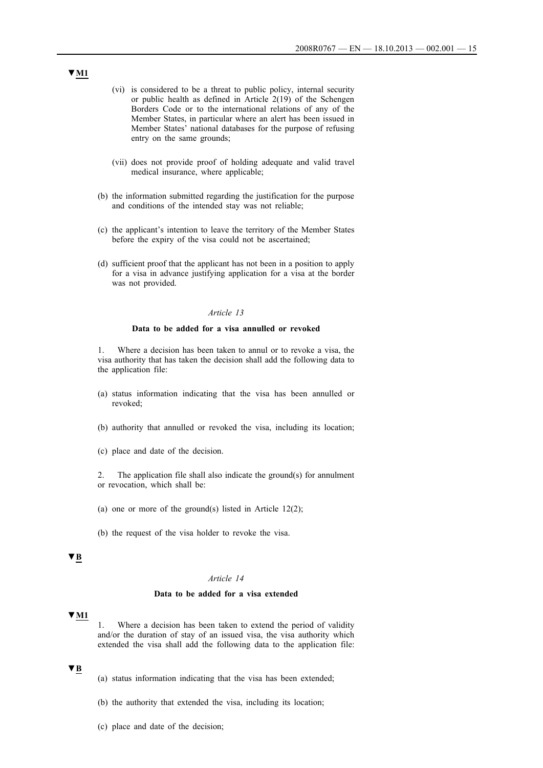- (vi) is considered to be a threat to public policy, internal security or public health as defined in Article 2(19) of the Schengen Borders Code or to the international relations of any of the Member States, in particular where an alert has been issued in Member States' national databases for the purpose of refusing entry on the same grounds;
- (vii) does not provide proof of holding adequate and valid travel medical insurance, where applicable;
- (b) the information submitted regarding the justification for the purpose and conditions of the intended stay was not reliable;
- (c) the applicant's intention to leave the territory of the Member States before the expiry of the visa could not be ascertained;
- (d) sufficient proof that the applicant has not been in a position to apply for a visa in advance justifying application for a visa at the border was not provided.

#### **Data to be added for a visa annulled or revoked**

1. Where a decision has been taken to annul or to revoke a visa, the visa authority that has taken the decision shall add the following data to the application file:

- (a) status information indicating that the visa has been annulled or revoked;
- (b) authority that annulled or revoked the visa, including its location;
- (c) place and date of the decision.

2. The application file shall also indicate the ground(s) for annulment or revocation, which shall be:

- (a) one or more of the ground(s) listed in Article  $12(2)$ ;
- (b) the request of the visa holder to revoke the visa.

## **▼B**

## *Article 14*

## **Data to be added for a visa extended**

## **▼M1**

1. Where a decision has been taken to extend the period of validity and/or the duration of stay of an issued visa, the visa authority which extended the visa shall add the following data to the application file:

## **▼B**

- (a) status information indicating that the visa has been extended;
- (b) the authority that extended the visa, including its location;
- (c) place and date of the decision;

## **▼M1**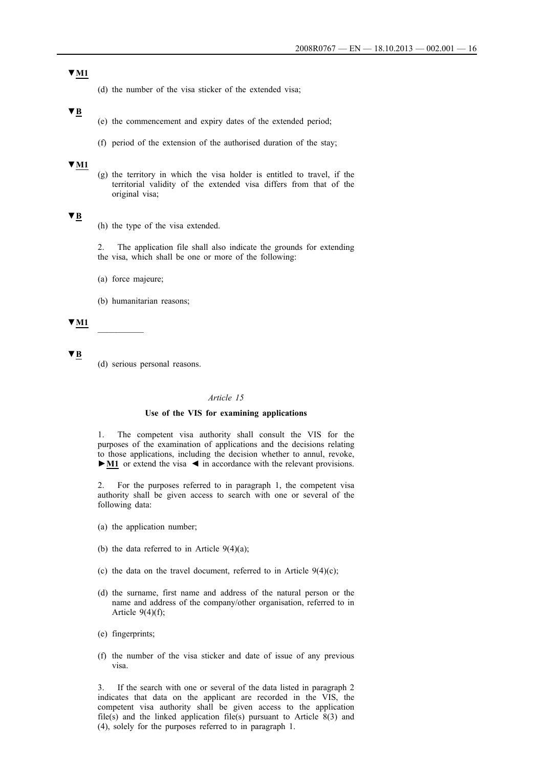(d) the number of the visa sticker of the extended visa;

## **▼B**

(e) the commencement and expiry dates of the extended period;

(f) period of the extension of the authorised duration of the stay;

## **▼M1**

(g) the territory in which the visa holder is entitled to travel, if the territorial validity of the extended visa differs from that of the original visa;

### **▼B**

- (h) the type of the visa extended.
- 2. The application file shall also indicate the grounds for extending the visa, which shall be one or more of the following:
- (a) force majeure;
- (b) humanitarian reasons;

### **▼M1** \_\_\_\_\_\_\_\_\_\_

**▼B**

(d) serious personal reasons.

### *Article 15*

## **Use of the VIS for examining applications**

1. The competent visa authority shall consult the VIS for the purposes of the examination of applications and the decisions relating to those applications, including the decision whether to annul, revoke, **►M1** or extend the visa ◄ in accordance with the relevant provisions.

2. For the purposes referred to in paragraph 1, the competent visa authority shall be given access to search with one or several of the following data:

- (a) the application number;
- (b) the data referred to in Article  $9(4)(a)$ ;
- (c) the data on the travel document, referred to in Article  $9(4)(c)$ ;
- (d) the surname, first name and address of the natural person or the name and address of the company/other organisation, referred to in Article 9(4)(f);
- (e) fingerprints;
- (f) the number of the visa sticker and date of issue of any previous visa.

3. If the search with one or several of the data listed in paragraph 2 indicates that data on the applicant are recorded in the VIS, the competent visa authority shall be given access to the application file(s) and the linked application file(s) pursuant to Article  $8(3)$  and (4), solely for the purposes referred to in paragraph 1.

## **▼M1**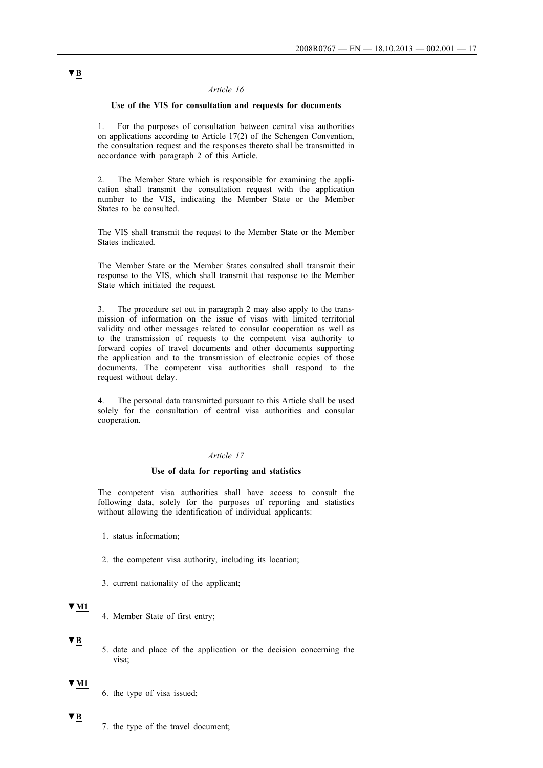## **Use of the VIS for consultation and requests for documents**

1. For the purposes of consultation between central visa authorities on applications according to Article 17(2) of the Schengen Convention, the consultation request and the responses thereto shall be transmitted in accordance with paragraph 2 of this Article.

2. The Member State which is responsible for examining the application shall transmit the consultation request with the application number to the VIS, indicating the Member State or the Member States to be consulted.

The VIS shall transmit the request to the Member State or the Member States indicated.

The Member State or the Member States consulted shall transmit their response to the VIS, which shall transmit that response to the Member State which initiated the request.

3. The procedure set out in paragraph 2 may also apply to the transmission of information on the issue of visas with limited territorial validity and other messages related to consular cooperation as well as to the transmission of requests to the competent visa authority to forward copies of travel documents and other documents supporting the application and to the transmission of electronic copies of those documents. The competent visa authorities shall respond to the request without delay.

4. The personal data transmitted pursuant to this Article shall be used solely for the consultation of central visa authorities and consular cooperation.

### *Article 17*

#### **Use of data for reporting and statistics**

The competent visa authorities shall have access to consult the following data, solely for the purposes of reporting and statistics without allowing the identification of individual applicants:

- 1. status information;
- 2. the competent visa authority, including its location;
- 3. current nationality of the applicant;

### **▼M1**

4. Member State of first entry;

#### **▼B**

5. date and place of the application or the decision concerning the visa;

### **▼M1**

6. the type of visa issued;

### **▼B**

7. the type of the travel document;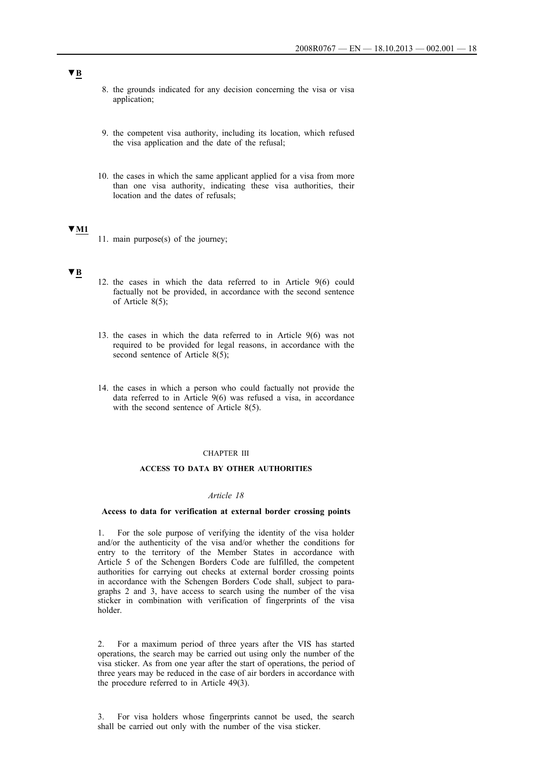- 8. the grounds indicated for any decision concerning the visa or visa application;
- 9. the competent visa authority, including its location, which refused the visa application and the date of the refusal;
- 10. the cases in which the same applicant applied for a visa from more than one visa authority, indicating these visa authorities, their location and the dates of refusals;

## **▼M1**

11. main purpose(s) of the journey;

## **▼B**

- 12. the cases in which the data referred to in Article 9(6) could factually not be provided, in accordance with the second sentence of Article 8(5);
- 13. the cases in which the data referred to in Article 9(6) was not required to be provided for legal reasons, in accordance with the second sentence of Article 8(5);
- 14. the cases in which a person who could factually not provide the data referred to in Article 9(6) was refused a visa, in accordance with the second sentence of Article 8(5).

#### CHAPTER III

### **ACCESS TO DATA BY OTHER AUTHORITIES**

### *Article 18*

#### **Access to data for verification at external border crossing points**

1. For the sole purpose of verifying the identity of the visa holder and/or the authenticity of the visa and/or whether the conditions for entry to the territory of the Member States in accordance with Article 5 of the Schengen Borders Code are fulfilled, the competent authorities for carrying out checks at external border crossing points in accordance with the Schengen Borders Code shall, subject to paragraphs 2 and 3, have access to search using the number of the visa sticker in combination with verification of fingerprints of the visa holder.

2. For a maximum period of three years after the VIS has started operations, the search may be carried out using only the number of the visa sticker. As from one year after the start of operations, the period of three years may be reduced in the case of air borders in accordance with the procedure referred to in Article 49(3).

3. For visa holders whose fingerprints cannot be used, the search shall be carried out only with the number of the visa sticker.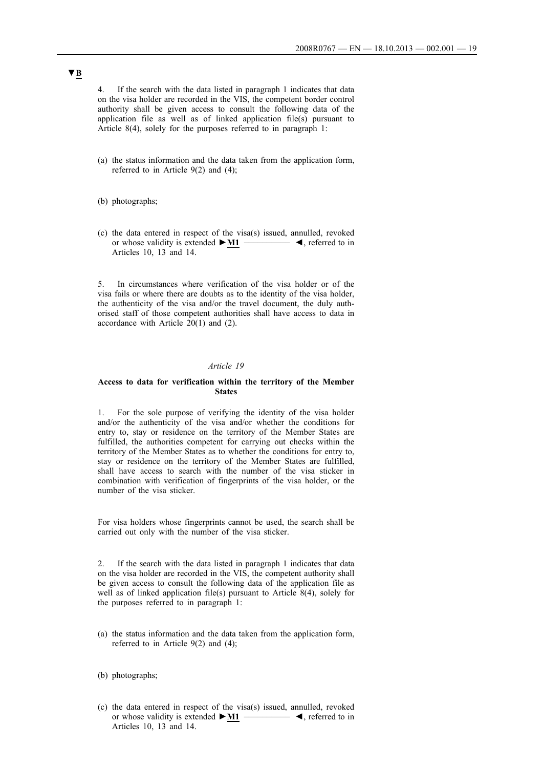4. If the search with the data listed in paragraph 1 indicates that data on the visa holder are recorded in the VIS, the competent border control authority shall be given access to consult the following data of the application file as well as of linked application file(s) pursuant to Article 8(4), solely for the purposes referred to in paragraph 1:

- (a) the status information and the data taken from the application form, referred to in Article 9(2) and (4);
- (b) photographs;
- (c) the data entered in respect of the visa(s) issued, annulled, revoked or whose validity is extended **►M1** \_\_\_\_\_\_\_\_\_\_ ◄, referred to in Articles 10, 13 and 14.

5. In circumstances where verification of the visa holder or of the visa fails or where there are doubts as to the identity of the visa holder, the authenticity of the visa and/or the travel document, the duly authorised staff of those competent authorities shall have access to data in accordance with Article 20(1) and (2).

## *Article 19*

#### **Access to data for verification within the territory of the Member States**

1. For the sole purpose of verifying the identity of the visa holder and/or the authenticity of the visa and/or whether the conditions for entry to, stay or residence on the territory of the Member States are fulfilled, the authorities competent for carrying out checks within the territory of the Member States as to whether the conditions for entry to, stay or residence on the territory of the Member States are fulfilled, shall have access to search with the number of the visa sticker in combination with verification of fingerprints of the visa holder, or the number of the visa sticker.

For visa holders whose fingerprints cannot be used, the search shall be carried out only with the number of the visa sticker.

2. If the search with the data listed in paragraph 1 indicates that data on the visa holder are recorded in the VIS, the competent authority shall be given access to consult the following data of the application file as well as of linked application file(s) pursuant to Article 8(4), solely for the purposes referred to in paragraph 1:

- (a) the status information and the data taken from the application form, referred to in Article 9(2) and (4);
- (b) photographs;
- (c) the data entered in respect of the visa(s) issued, annulled, revoked or whose validity is extended **►M1** \_\_\_\_\_\_\_\_\_\_ ◄, referred to in Articles 10, 13 and 14.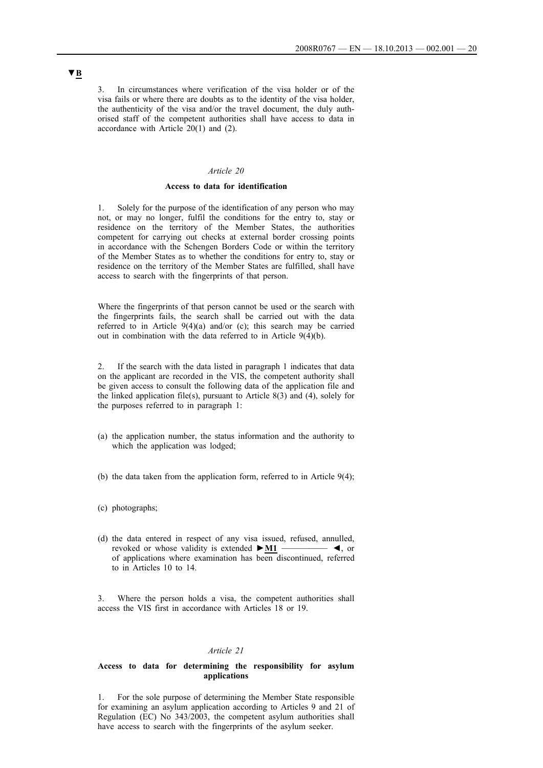3. In circumstances where verification of the visa holder or of the visa fails or where there are doubts as to the identity of the visa holder, the authenticity of the visa and/or the travel document, the duly authorised staff of the competent authorities shall have access to data in accordance with Article 20(1) and (2).

#### *Article 20*

#### **Access to data for identification**

1. Solely for the purpose of the identification of any person who may not, or may no longer, fulfil the conditions for the entry to, stay or residence on the territory of the Member States, the authorities competent for carrying out checks at external border crossing points in accordance with the Schengen Borders Code or within the territory of the Member States as to whether the conditions for entry to, stay or residence on the territory of the Member States are fulfilled, shall have access to search with the fingerprints of that person.

Where the fingerprints of that person cannot be used or the search with the fingerprints fails, the search shall be carried out with the data referred to in Article 9(4)(a) and/or (c); this search may be carried out in combination with the data referred to in Article 9(4)(b).

2. If the search with the data listed in paragraph 1 indicates that data on the applicant are recorded in the VIS, the competent authority shall be given access to consult the following data of the application file and the linked application file(s), pursuant to Article 8(3) and (4), solely for the purposes referred to in paragraph 1:

- (a) the application number, the status information and the authority to which the application was lodged;
- (b) the data taken from the application form, referred to in Article 9(4);
- (c) photographs;
- (d) the data entered in respect of any visa issued, refused, annulled, revoked or whose validity is extended **►M1** \_\_\_\_\_\_\_\_\_\_ ◄, or of applications where examination has been discontinued, referred to in Articles 10 to 14.

3. Where the person holds a visa, the competent authorities shall access the VIS first in accordance with Articles 18 or 19.

#### *Article 21*

#### **Access to data for determining the responsibility for asylum applications**

1. For the sole purpose of determining the Member State responsible for examining an asylum application according to Articles 9 and 21 of Regulation (EC) No 343/2003, the competent asylum authorities shall have access to search with the fingerprints of the asylum seeker.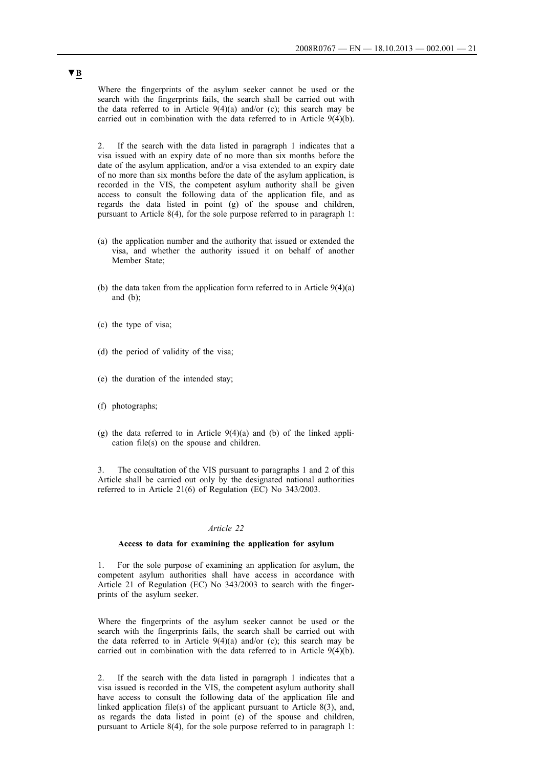Where the fingerprints of the asylum seeker cannot be used or the search with the fingerprints fails, the search shall be carried out with the data referred to in Article  $9(4)(a)$  and/or (c); this search may be carried out in combination with the data referred to in Article 9(4)(b).

2. If the search with the data listed in paragraph 1 indicates that a visa issued with an expiry date of no more than six months before the date of the asylum application, and/or a visa extended to an expiry date of no more than six months before the date of the asylum application, is recorded in the VIS, the competent asylum authority shall be given access to consult the following data of the application file, and as regards the data listed in point (g) of the spouse and children, pursuant to Article 8(4), for the sole purpose referred to in paragraph 1:

- (a) the application number and the authority that issued or extended the visa, and whether the authority issued it on behalf of another Member State;
- (b) the data taken from the application form referred to in Article  $9(4)(a)$ and (b);
- (c) the type of visa;
- (d) the period of validity of the visa;
- (e) the duration of the intended stay;
- (f) photographs;
- (g) the data referred to in Article  $9(4)(a)$  and (b) of the linked application file(s) on the spouse and children.

3. The consultation of the VIS pursuant to paragraphs 1 and 2 of this Article shall be carried out only by the designated national authorities referred to in Article 21(6) of Regulation (EC) No 343/2003.

#### *Article 22*

### **Access to data for examining the application for asylum**

1. For the sole purpose of examining an application for asylum, the competent asylum authorities shall have access in accordance with Article 21 of Regulation (EC) No 343/2003 to search with the fingerprints of the asylum seeker.

Where the fingerprints of the asylum seeker cannot be used or the search with the fingerprints fails, the search shall be carried out with the data referred to in Article  $9(4)(a)$  and/or (c); this search may be carried out in combination with the data referred to in Article 9(4)(b).

2. If the search with the data listed in paragraph 1 indicates that a visa issued is recorded in the VIS, the competent asylum authority shall have access to consult the following data of the application file and linked application file(s) of the applicant pursuant to Article 8(3), and, as regards the data listed in point (e) of the spouse and children, pursuant to Article 8(4), for the sole purpose referred to in paragraph 1: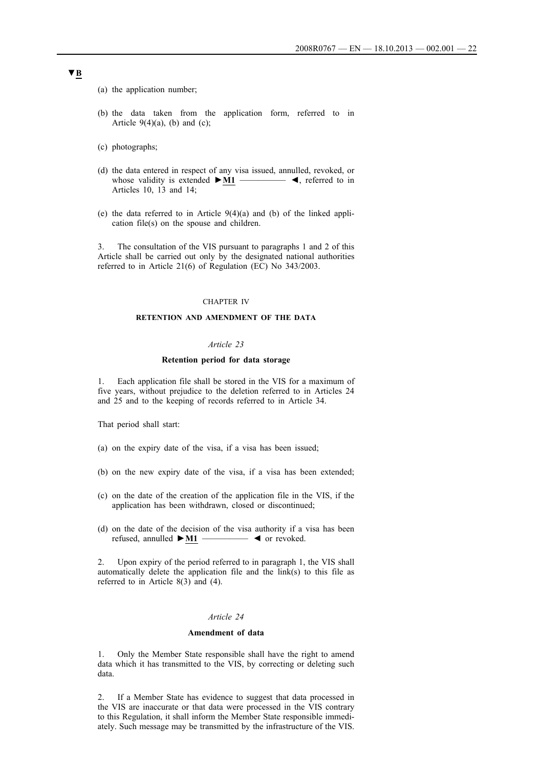- (a) the application number;
- (b) the data taken from the application form, referred to in Article  $9(4)(a)$ , (b) and (c);
- (c) photographs;
- (d) the data entered in respect of any visa issued, annulled, revoked, or whose validity is extended **►M1** — **-** *i*, referred to in Articles 10, 13 and 14;
- (e) the data referred to in Article  $9(4)(a)$  and (b) of the linked application file(s) on the spouse and children.

3. The consultation of the VIS pursuant to paragraphs 1 and 2 of this Article shall be carried out only by the designated national authorities referred to in Article 21(6) of Regulation (EC) No 343/2003.

#### CHAPTER IV

### **RETENTION AND AMENDMENT OF THE DATA**

### *Article 23*

#### **Retention period for data storage**

1. Each application file shall be stored in the VIS for a maximum of five years, without prejudice to the deletion referred to in Articles 24 and 25 and to the keeping of records referred to in Article 34.

That period shall start:

- (a) on the expiry date of the visa, if a visa has been issued;
- (b) on the new expiry date of the visa, if a visa has been extended;
- (c) on the date of the creation of the application file in the VIS, if the application has been withdrawn, closed or discontinued;
- (d) on the date of the decision of the visa authority if a visa has been refused, annulled **►M1** \_\_\_\_\_\_\_\_\_\_ ◄ or revoked.

2. Upon expiry of the period referred to in paragraph 1, the VIS shall automatically delete the application file and the link(s) to this file as referred to in Article 8(3) and (4).

#### *Article 24*

### **Amendment of data**

1. Only the Member State responsible shall have the right to amend data which it has transmitted to the VIS, by correcting or deleting such data.

2. If a Member State has evidence to suggest that data processed in the VIS are inaccurate or that data were processed in the VIS contrary to this Regulation, it shall inform the Member State responsible immediately. Such message may be transmitted by the infrastructure of the VIS.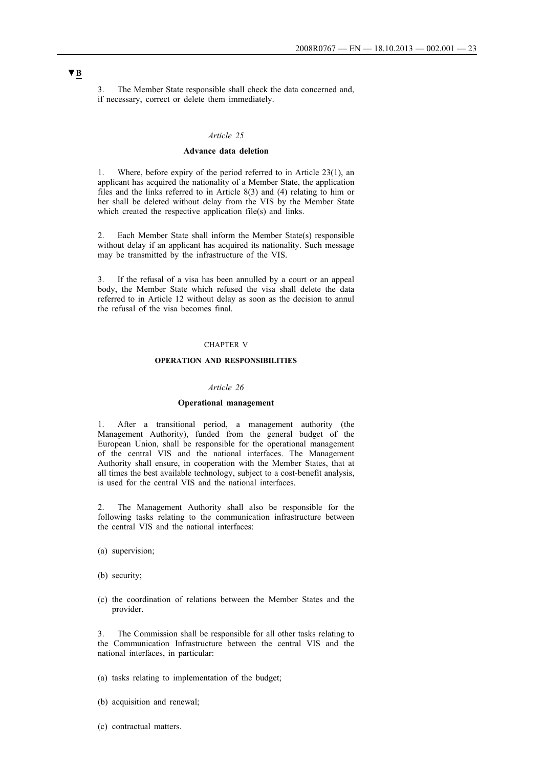3. The Member State responsible shall check the data concerned and, if necessary, correct or delete them immediately.

#### *Article 25*

### **Advance data deletion**

1. Where, before expiry of the period referred to in Article 23(1), an applicant has acquired the nationality of a Member State, the application files and the links referred to in Article 8(3) and (4) relating to him or her shall be deleted without delay from the VIS by the Member State which created the respective application file(s) and links.

2. Each Member State shall inform the Member State(s) responsible without delay if an applicant has acquired its nationality. Such message may be transmitted by the infrastructure of the VIS.

3. If the refusal of a visa has been annulled by a court or an appeal body, the Member State which refused the visa shall delete the data referred to in Article 12 without delay as soon as the decision to annul the refusal of the visa becomes final.

#### CHAPTER V

#### **OPERATION AND RESPONSIBILITIES**

#### *Article 26*

#### **Operational management**

1. After a transitional period, a management authority (the Management Authority), funded from the general budget of the European Union, shall be responsible for the operational management of the central VIS and the national interfaces. The Management Authority shall ensure, in cooperation with the Member States, that at all times the best available technology, subject to a cost-benefit analysis, is used for the central VIS and the national interfaces.

2. The Management Authority shall also be responsible for the following tasks relating to the communication infrastructure between the central VIS and the national interfaces:

- (a) supervision;
- (b) security;
- (c) the coordination of relations between the Member States and the provider.

The Commission shall be responsible for all other tasks relating to the Communication Infrastructure between the central VIS and the national interfaces, in particular:

(a) tasks relating to implementation of the budget;

- (b) acquisition and renewal;
- (c) contractual matters.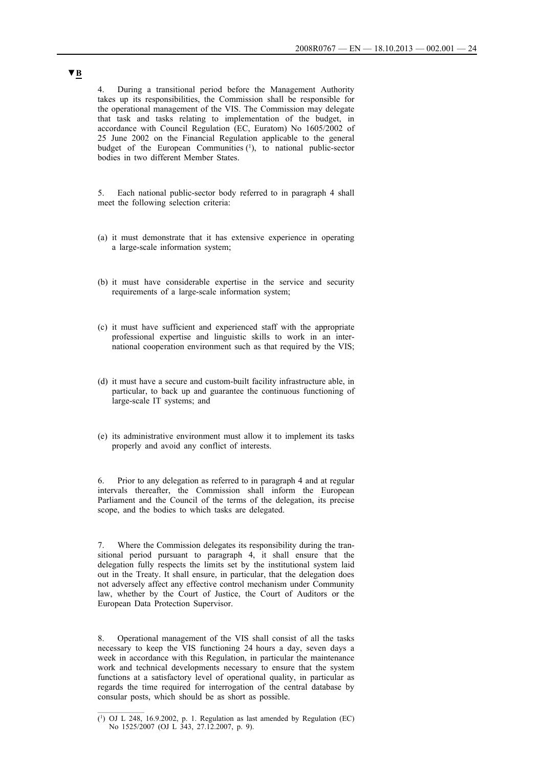4. During a transitional period before the Management Authority takes up its responsibilities, the Commission shall be responsible for the operational management of the VIS. The Commission may delegate that task and tasks relating to implementation of the budget, in accordance with Council Regulation (EC, Euratom) No 1605/2002 of 25 June 2002 on the Financial Regulation applicable to the general budget of the European Communities  $(1)$ , to national public-sector bodies in two different Member States.

5. Each national public-sector body referred to in paragraph 4 shall meet the following selection criteria:

- (a) it must demonstrate that it has extensive experience in operating a large-scale information system;
- (b) it must have considerable expertise in the service and security requirements of a large-scale information system;
- (c) it must have sufficient and experienced staff with the appropriate professional expertise and linguistic skills to work in an international cooperation environment such as that required by the VIS;
- (d) it must have a secure and custom-built facility infrastructure able, in particular, to back up and guarantee the continuous functioning of large-scale IT systems; and
- (e) its administrative environment must allow it to implement its tasks properly and avoid any conflict of interests.

6. Prior to any delegation as referred to in paragraph 4 and at regular intervals thereafter, the Commission shall inform the European Parliament and the Council of the terms of the delegation, its precise scope, and the bodies to which tasks are delegated.

7. Where the Commission delegates its responsibility during the transitional period pursuant to paragraph 4, it shall ensure that the delegation fully respects the limits set by the institutional system laid out in the Treaty. It shall ensure, in particular, that the delegation does not adversely affect any effective control mechanism under Community law, whether by the Court of Justice, the Court of Auditors or the European Data Protection Supervisor.

8. Operational management of the VIS shall consist of all the tasks necessary to keep the VIS functioning 24 hours a day, seven days a week in accordance with this Regulation, in particular the maintenance work and technical developments necessary to ensure that the system functions at a satisfactory level of operational quality, in particular as regards the time required for interrogation of the central database by consular posts, which should be as short as possible.

<sup>(1)</sup> OJ L 248, 16.9.2002, p. 1. Regulation as last amended by Regulation (EC) No 1525/2007 (OJ L 343, 27.12.2007, p. 9).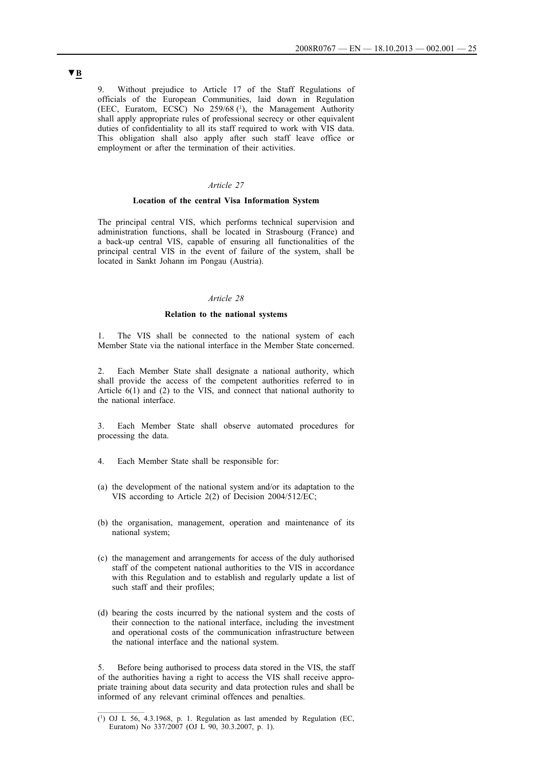Without prejudice to Article 17 of the Staff Regulations of officials of the European Communities, laid down in Regulation (EEC, Euratom, ECSC) No 259/68 (1), the Management Authority shall apply appropriate rules of professional secrecy or other equivalent duties of confidentiality to all its staff required to work with VIS data. This obligation shall also apply after such staff leave office or employment or after the termination of their activities.

## *Article 27*

### **Location of the central Visa Information System**

The principal central VIS, which performs technical supervision and administration functions, shall be located in Strasbourg (France) and a back-up central VIS, capable of ensuring all functionalities of the principal central VIS in the event of failure of the system, shall be located in Sankt Johann im Pongau (Austria).

#### *Article 28*

#### **Relation to the national systems**

The VIS shall be connected to the national system of each Member State via the national interface in the Member State concerned.

Each Member State shall designate a national authority, which shall provide the access of the competent authorities referred to in Article 6(1) and (2) to the VIS, and connect that national authority to the national interface.

3. Each Member State shall observe automated procedures for processing the data.

- 4. Each Member State shall be responsible for:
- (a) the development of the national system and/or its adaptation to the VIS according to Article 2(2) of Decision 2004/512/EC;
- (b) the organisation, management, operation and maintenance of its national system;
- (c) the management and arrangements for access of the duly authorised staff of the competent national authorities to the VIS in accordance with this Regulation and to establish and regularly update a list of such staff and their profiles;
- (d) bearing the costs incurred by the national system and the costs of their connection to the national interface, including the investment and operational costs of the communication infrastructure between the national interface and the national system.

5. Before being authorised to process data stored in the VIS, the staff of the authorities having a right to access the VIS shall receive appropriate training about data security and data protection rules and shall be informed of any relevant criminal offences and penalties.

<sup>(1)</sup> OJ L 56, 4.3.1968, p. 1. Regulation as last amended by Regulation (EC, Euratom) No 337/2007 (OJ L 90, 30.3.2007, p. 1).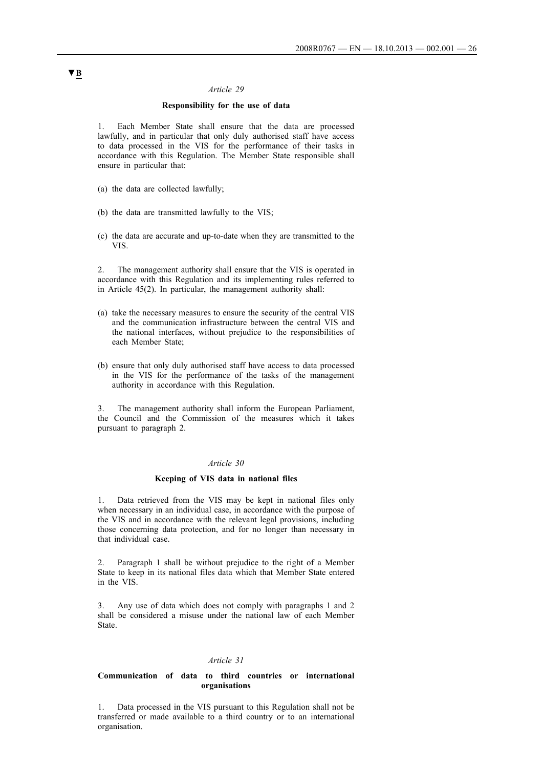### **Responsibility for the use of data**

1. Each Member State shall ensure that the data are processed lawfully, and in particular that only duly authorised staff have access to data processed in the VIS for the performance of their tasks in accordance with this Regulation. The Member State responsible shall ensure in particular that:

- (a) the data are collected lawfully;
- (b) the data are transmitted lawfully to the VIS;
- (c) the data are accurate and up-to-date when they are transmitted to the VIS.

2. The management authority shall ensure that the VIS is operated in accordance with this Regulation and its implementing rules referred to in Article 45(2). In particular, the management authority shall:

- (a) take the necessary measures to ensure the security of the central VIS and the communication infrastructure between the central VIS and the national interfaces, without prejudice to the responsibilities of each Member State;
- (b) ensure that only duly authorised staff have access to data processed in the VIS for the performance of the tasks of the management authority in accordance with this Regulation.

3. The management authority shall inform the European Parliament, the Council and the Commission of the measures which it takes pursuant to paragraph 2.

#### *Article 30*

#### **Keeping of VIS data in national files**

1. Data retrieved from the VIS may be kept in national files only when necessary in an individual case, in accordance with the purpose of the VIS and in accordance with the relevant legal provisions, including those concerning data protection, and for no longer than necessary in that individual case.

Paragraph 1 shall be without prejudice to the right of a Member State to keep in its national files data which that Member State entered in the VIS.

3. Any use of data which does not comply with paragraphs 1 and 2 shall be considered a misuse under the national law of each Member State.

#### *Article 31*

#### **Communication of data to third countries or international organisations**

1. Data processed in the VIS pursuant to this Regulation shall not be transferred or made available to a third country or to an international organisation.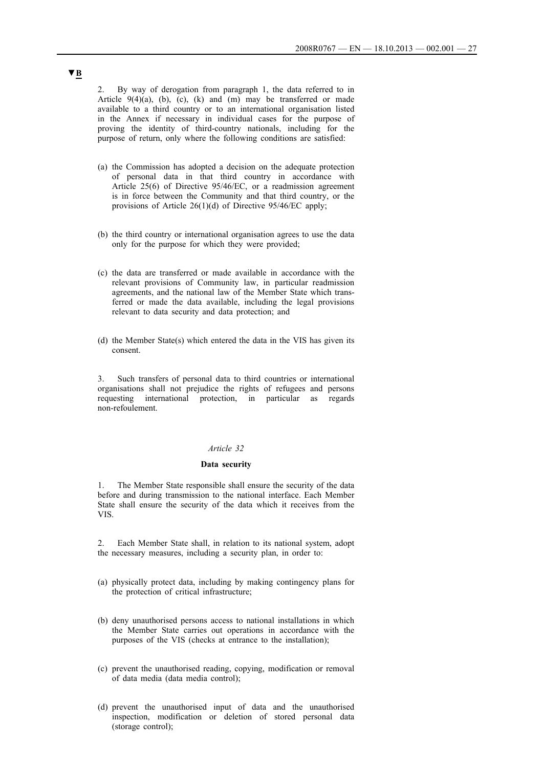2. By way of derogation from paragraph 1, the data referred to in Article  $9(4)(a)$ , (b), (c), (k) and (m) may be transferred or made available to a third country or to an international organisation listed in the Annex if necessary in individual cases for the purpose of proving the identity of third-country nationals, including for the purpose of return, only where the following conditions are satisfied:

- (a) the Commission has adopted a decision on the adequate protection of personal data in that third country in accordance with Article 25(6) of Directive 95/46/EC, or a readmission agreement is in force between the Community and that third country, or the provisions of Article 26(1)(d) of Directive 95/46/EC apply;
- (b) the third country or international organisation agrees to use the data only for the purpose for which they were provided;
- (c) the data are transferred or made available in accordance with the relevant provisions of Community law, in particular readmission agreements, and the national law of the Member State which transferred or made the data available, including the legal provisions relevant to data security and data protection; and
- (d) the Member State(s) which entered the data in the VIS has given its consent.

3. Such transfers of personal data to third countries or international organisations shall not prejudice the rights of refugees and persons requesting international protection, in particular as regards non-refoulement.

#### *Article 32*

### **Data security**

1. The Member State responsible shall ensure the security of the data before and during transmission to the national interface. Each Member State shall ensure the security of the data which it receives from the VIS.

2. Each Member State shall, in relation to its national system, adopt the necessary measures, including a security plan, in order to:

- (a) physically protect data, including by making contingency plans for the protection of critical infrastructure;
- (b) deny unauthorised persons access to national installations in which the Member State carries out operations in accordance with the purposes of the VIS (checks at entrance to the installation);
- (c) prevent the unauthorised reading, copying, modification or removal of data media (data media control);
- (d) prevent the unauthorised input of data and the unauthorised inspection, modification or deletion of stored personal data (storage control);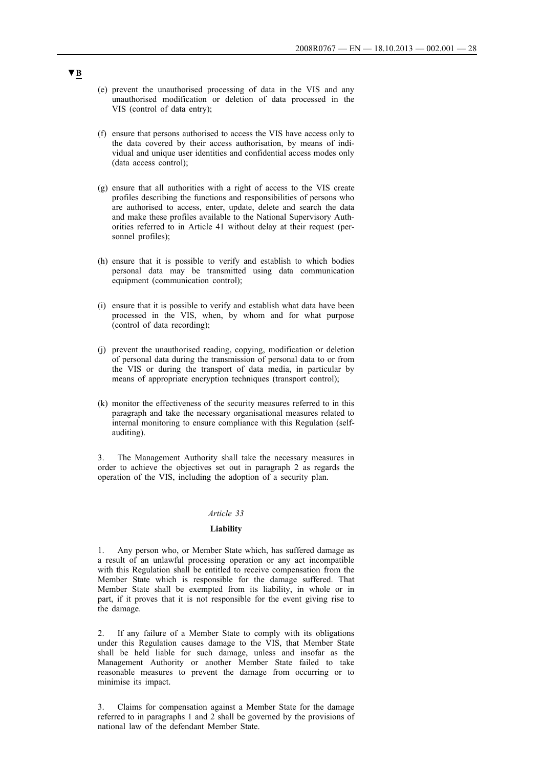- (e) prevent the unauthorised processing of data in the VIS and any unauthorised modification or deletion of data processed in the VIS (control of data entry);
- (f) ensure that persons authorised to access the VIS have access only to the data covered by their access authorisation, by means of individual and unique user identities and confidential access modes only (data access control);
- (g) ensure that all authorities with a right of access to the VIS create profiles describing the functions and responsibilities of persons who are authorised to access, enter, update, delete and search the data and make these profiles available to the National Supervisory Authorities referred to in Article 41 without delay at their request (personnel profiles);
- (h) ensure that it is possible to verify and establish to which bodies personal data may be transmitted using data communication equipment (communication control);
- (i) ensure that it is possible to verify and establish what data have been processed in the VIS, when, by whom and for what purpose (control of data recording);
- (j) prevent the unauthorised reading, copying, modification or deletion of personal data during the transmission of personal data to or from the VIS or during the transport of data media, in particular by means of appropriate encryption techniques (transport control);
- (k) monitor the effectiveness of the security measures referred to in this paragraph and take the necessary organisational measures related to internal monitoring to ensure compliance with this Regulation (selfauditing).

3. The Management Authority shall take the necessary measures in order to achieve the objectives set out in paragraph 2 as regards the operation of the VIS, including the adoption of a security plan.

## *Article 33*

#### **Liability**

1. Any person who, or Member State which, has suffered damage as a result of an unlawful processing operation or any act incompatible with this Regulation shall be entitled to receive compensation from the Member State which is responsible for the damage suffered. That Member State shall be exempted from its liability, in whole or in part, if it proves that it is not responsible for the event giving rise to the damage.

2. If any failure of a Member State to comply with its obligations under this Regulation causes damage to the VIS, that Member State shall be held liable for such damage, unless and insofar as the Management Authority or another Member State failed to take reasonable measures to prevent the damage from occurring or to minimise its impact.

3. Claims for compensation against a Member State for the damage referred to in paragraphs 1 and 2 shall be governed by the provisions of national law of the defendant Member State.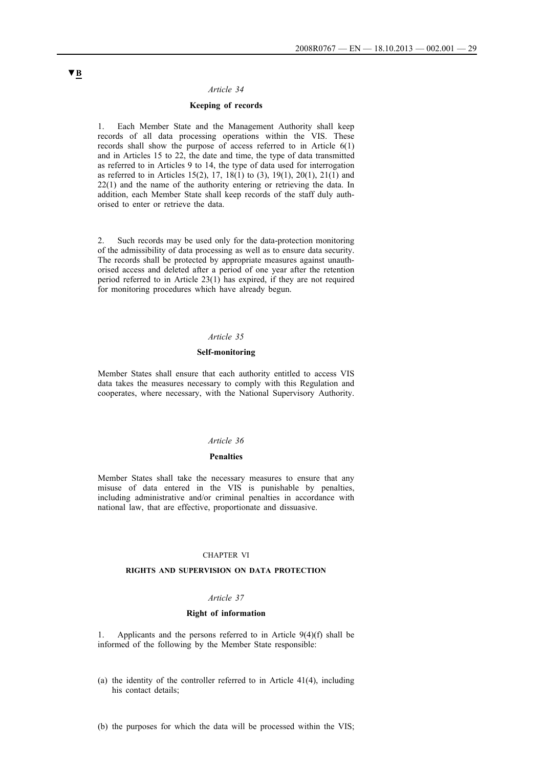### **Keeping of records**

1. Each Member State and the Management Authority shall keep records of all data processing operations within the VIS. These records shall show the purpose of access referred to in Article 6(1) and in Articles 15 to 22, the date and time, the type of data transmitted as referred to in Articles 9 to 14, the type of data used for interrogation as referred to in Articles 15(2), 17, 18(1) to (3), 19(1), 20(1), 21(1) and 22(1) and the name of the authority entering or retrieving the data. In addition, each Member State shall keep records of the staff duly authorised to enter or retrieve the data.

2. Such records may be used only for the data-protection monitoring of the admissibility of data processing as well as to ensure data security. The records shall be protected by appropriate measures against unauthorised access and deleted after a period of one year after the retention period referred to in Article 23(1) has expired, if they are not required for monitoring procedures which have already begun.

### *Article 35*

#### **Self-monitoring**

Member States shall ensure that each authority entitled to access VIS data takes the measures necessary to comply with this Regulation and cooperates, where necessary, with the National Supervisory Authority.

#### *Article 36*

### **Penalties**

Member States shall take the necessary measures to ensure that any misuse of data entered in the VIS is punishable by penalties, including administrative and/or criminal penalties in accordance with national law, that are effective, proportionate and dissuasive.

#### CHAPTER VI

#### **RIGHTS AND SUPERVISION ON DATA PROTECTION**

### *Article 37*

#### **Right of information**

1. Applicants and the persons referred to in Article 9(4)(f) shall be informed of the following by the Member State responsible:

(a) the identity of the controller referred to in Article 41(4), including his contact details;

(b) the purposes for which the data will be processed within the VIS;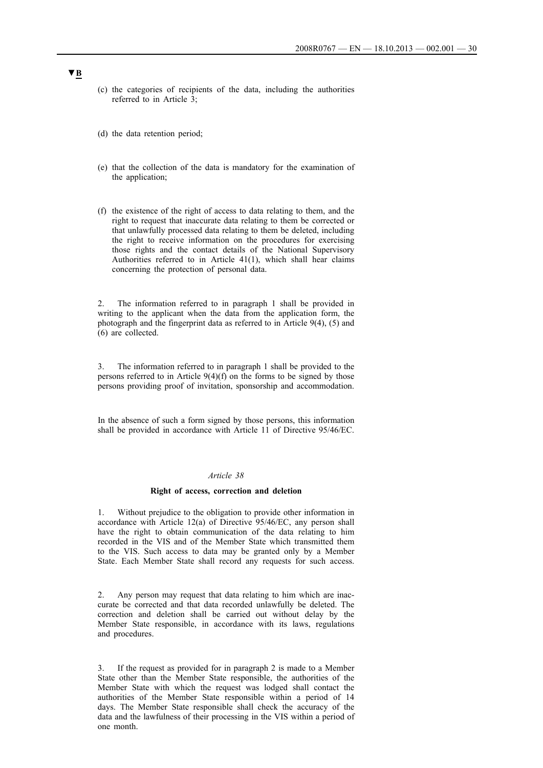- (c) the categories of recipients of the data, including the authorities referred to in Article 3;
- (d) the data retention period;
- (e) that the collection of the data is mandatory for the examination of the application;
- (f) the existence of the right of access to data relating to them, and the right to request that inaccurate data relating to them be corrected or that unlawfully processed data relating to them be deleted, including the right to receive information on the procedures for exercising those rights and the contact details of the National Supervisory Authorities referred to in Article 41(1), which shall hear claims concerning the protection of personal data.

2. The information referred to in paragraph 1 shall be provided in writing to the applicant when the data from the application form, the photograph and the fingerprint data as referred to in Article 9(4), (5) and (6) are collected.

3. The information referred to in paragraph 1 shall be provided to the persons referred to in Article 9(4)(f) on the forms to be signed by those persons providing proof of invitation, sponsorship and accommodation.

In the absence of such a form signed by those persons, this information shall be provided in accordance with Article 11 of Directive 95/46/EC.

### *Article 38*

#### **Right of access, correction and deletion**

1. Without prejudice to the obligation to provide other information in accordance with Article 12(a) of Directive 95/46/EC, any person shall have the right to obtain communication of the data relating to him recorded in the VIS and of the Member State which transmitted them to the VIS. Such access to data may be granted only by a Member State. Each Member State shall record any requests for such access.

2. Any person may request that data relating to him which are inaccurate be corrected and that data recorded unlawfully be deleted. The correction and deletion shall be carried out without delay by the Member State responsible, in accordance with its laws, regulations and procedures.

If the request as provided for in paragraph 2 is made to a Member State other than the Member State responsible, the authorities of the Member State with which the request was lodged shall contact the authorities of the Member State responsible within a period of 14 days. The Member State responsible shall check the accuracy of the data and the lawfulness of their processing in the VIS within a period of one month.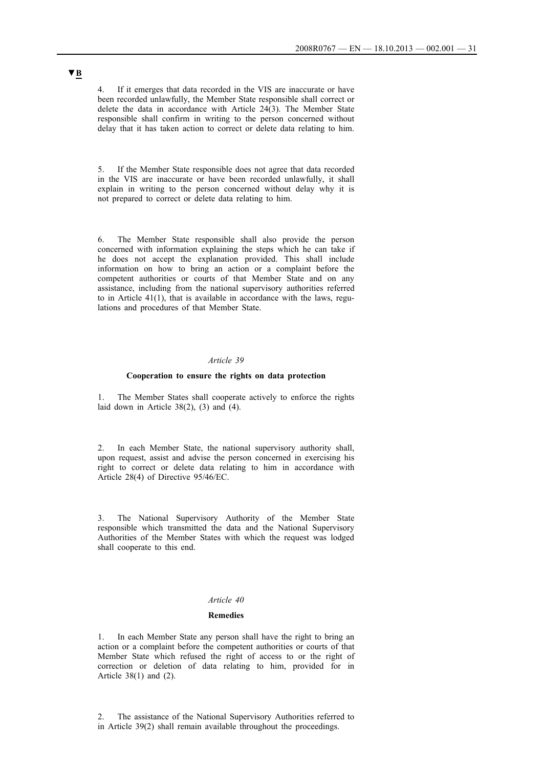4. If it emerges that data recorded in the VIS are inaccurate or have been recorded unlawfully, the Member State responsible shall correct or delete the data in accordance with Article 24(3). The Member State responsible shall confirm in writing to the person concerned without delay that it has taken action to correct or delete data relating to him.

5. If the Member State responsible does not agree that data recorded in the VIS are inaccurate or have been recorded unlawfully, it shall explain in writing to the person concerned without delay why it is not prepared to correct or delete data relating to him.

6. The Member State responsible shall also provide the person concerned with information explaining the steps which he can take if he does not accept the explanation provided. This shall include information on how to bring an action or a complaint before the competent authorities or courts of that Member State and on any assistance, including from the national supervisory authorities referred to in Article 41(1), that is available in accordance with the laws, regulations and procedures of that Member State.

#### *Article 39*

### **Cooperation to ensure the rights on data protection**

1. The Member States shall cooperate actively to enforce the rights laid down in Article  $38(2)$ ,  $(3)$  and  $(4)$ .

2. In each Member State, the national supervisory authority shall, upon request, assist and advise the person concerned in exercising his right to correct or delete data relating to him in accordance with Article 28(4) of Directive 95/46/EC.

3. The National Supervisory Authority of the Member State responsible which transmitted the data and the National Supervisory Authorities of the Member States with which the request was lodged shall cooperate to this end.

## *Article 40*

#### **Remedies**

1. In each Member State any person shall have the right to bring an action or a complaint before the competent authorities or courts of that Member State which refused the right of access to or the right of correction or deletion of data relating to him, provided for in Article 38(1) and (2).

2. The assistance of the National Supervisory Authorities referred to in Article 39(2) shall remain available throughout the proceedings.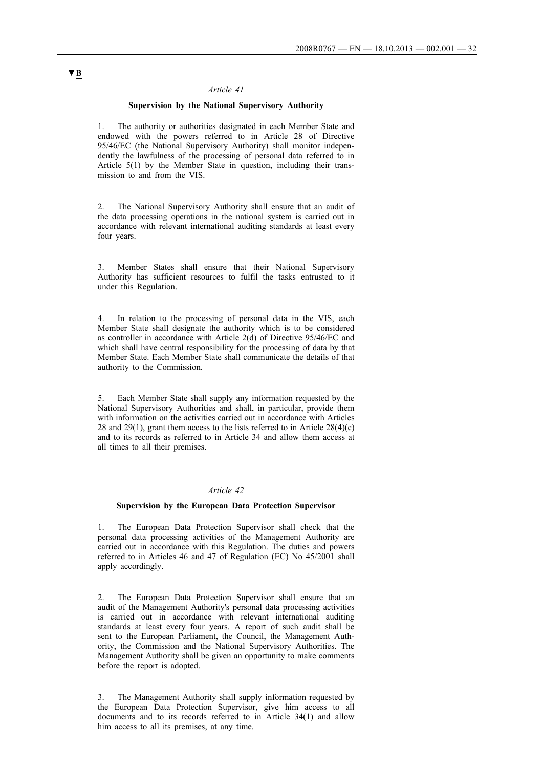## **Supervision by the National Supervisory Authority**

1. The authority or authorities designated in each Member State and endowed with the powers referred to in Article 28 of Directive 95/46/EC (the National Supervisory Authority) shall monitor independently the lawfulness of the processing of personal data referred to in Article 5(1) by the Member State in question, including their transmission to and from the VIS.

2. The National Supervisory Authority shall ensure that an audit of the data processing operations in the national system is carried out in accordance with relevant international auditing standards at least every four years.

3. Member States shall ensure that their National Supervisory Authority has sufficient resources to fulfil the tasks entrusted to it under this Regulation.

4. In relation to the processing of personal data in the VIS, each Member State shall designate the authority which is to be considered as controller in accordance with Article 2(d) of Directive 95/46/EC and which shall have central responsibility for the processing of data by that Member State. Each Member State shall communicate the details of that authority to the Commission.

5. Each Member State shall supply any information requested by the National Supervisory Authorities and shall, in particular, provide them with information on the activities carried out in accordance with Articles 28 and 29(1), grant them access to the lists referred to in Article  $28(4)(c)$ and to its records as referred to in Article 34 and allow them access at all times to all their premises.

#### *Article 42*

#### **Supervision by the European Data Protection Supervisor**

The European Data Protection Supervisor shall check that the personal data processing activities of the Management Authority are carried out in accordance with this Regulation. The duties and powers referred to in Articles 46 and 47 of Regulation (EC) No 45/2001 shall apply accordingly.

2. The European Data Protection Supervisor shall ensure that an audit of the Management Authority's personal data processing activities is carried out in accordance with relevant international auditing standards at least every four years. A report of such audit shall be sent to the European Parliament, the Council, the Management Authority, the Commission and the National Supervisory Authorities. The Management Authority shall be given an opportunity to make comments before the report is adopted.

3. The Management Authority shall supply information requested by the European Data Protection Supervisor, give him access to all documents and to its records referred to in Article 34(1) and allow him access to all its premises, at any time.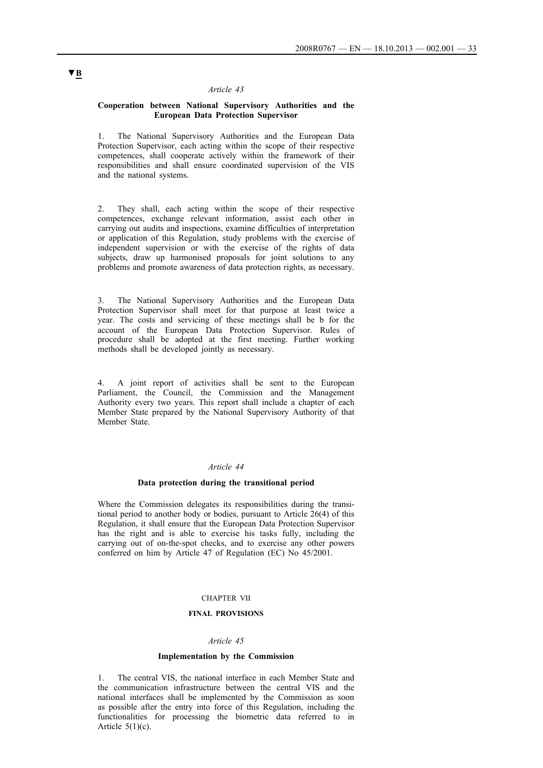### **Cooperation between National Supervisory Authorities and the European Data Protection Supervisor**

1. The National Supervisory Authorities and the European Data Protection Supervisor, each acting within the scope of their respective competences, shall cooperate actively within the framework of their responsibilities and shall ensure coordinated supervision of the VIS and the national systems.

2. They shall, each acting within the scope of their respective competences, exchange relevant information, assist each other in carrying out audits and inspections, examine difficulties of interpretation or application of this Regulation, study problems with the exercise of independent supervision or with the exercise of the rights of data subjects, draw up harmonised proposals for joint solutions to any problems and promote awareness of data protection rights, as necessary.

3. The National Supervisory Authorities and the European Data Protection Supervisor shall meet for that purpose at least twice a year. The costs and servicing of these meetings shall be b for the account of the European Data Protection Supervisor. Rules of procedure shall be adopted at the first meeting. Further working methods shall be developed jointly as necessary.

4. A joint report of activities shall be sent to the European Parliament, the Council, the Commission and the Management Authority every two years. This report shall include a chapter of each Member State prepared by the National Supervisory Authority of that Member State.

## *Article 44*

#### **Data protection during the transitional period**

Where the Commission delegates its responsibilities during the transitional period to another body or bodies, pursuant to Article 26(4) of this Regulation, it shall ensure that the European Data Protection Supervisor has the right and is able to exercise his tasks fully, including the carrying out of on-the-spot checks, and to exercise any other powers conferred on him by Article 47 of Regulation (EC) No 45/2001.

#### CHAPTER VII

## **FINAL PROVISIONS**

#### *Article 45*

#### **Implementation by the Commission**

1. The central VIS, the national interface in each Member State and the communication infrastructure between the central VIS and the national interfaces shall be implemented by the Commission as soon as possible after the entry into force of this Regulation, including the functionalities for processing the biometric data referred to in Article 5(1)(c).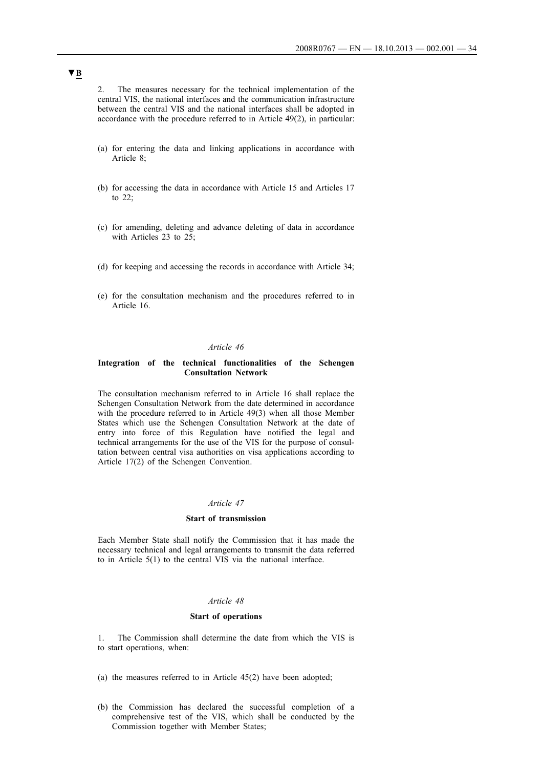2. The measures necessary for the technical implementation of the central VIS, the national interfaces and the communication infrastructure between the central VIS and the national interfaces shall be adopted in accordance with the procedure referred to in Article 49(2), in particular:

- (a) for entering the data and linking applications in accordance with Article 8;
- (b) for accessing the data in accordance with Article 15 and Articles 17 to 22;
- (c) for amending, deleting and advance deleting of data in accordance with Articles 23 to 25;
- (d) for keeping and accessing the records in accordance with Article 34;
- (e) for the consultation mechanism and the procedures referred to in Article 16.

#### *Article 46*

#### **Integration of the technical functionalities of the Schengen Consultation Network**

The consultation mechanism referred to in Article 16 shall replace the Schengen Consultation Network from the date determined in accordance with the procedure referred to in Article 49(3) when all those Member States which use the Schengen Consultation Network at the date of entry into force of this Regulation have notified the legal and technical arrangements for the use of the VIS for the purpose of consultation between central visa authorities on visa applications according to Article 17(2) of the Schengen Convention.

## *Article 47*

#### **Start of transmission**

Each Member State shall notify the Commission that it has made the necessary technical and legal arrangements to transmit the data referred to in Article 5(1) to the central VIS via the national interface.

### *Article 48*

### **Start of operations**

1. The Commission shall determine the date from which the VIS is to start operations, when:

(a) the measures referred to in Article 45(2) have been adopted;

(b) the Commission has declared the successful completion of a comprehensive test of the VIS, which shall be conducted by the Commission together with Member States;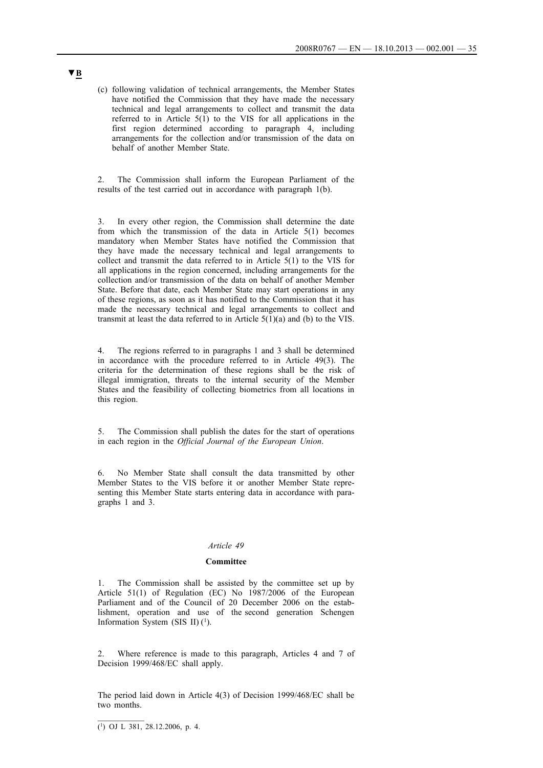(c) following validation of technical arrangements, the Member States have notified the Commission that they have made the necessary technical and legal arrangements to collect and transmit the data referred to in Article 5(1) to the VIS for all applications in the first region determined according to paragraph 4, including arrangements for the collection and/or transmission of the data on behalf of another Member State.

2. The Commission shall inform the European Parliament of the results of the test carried out in accordance with paragraph 1(b).

3. In every other region, the Commission shall determine the date from which the transmission of the data in Article 5(1) becomes mandatory when Member States have notified the Commission that they have made the necessary technical and legal arrangements to collect and transmit the data referred to in Article 5(1) to the VIS for all applications in the region concerned, including arrangements for the collection and/or transmission of the data on behalf of another Member State. Before that date, each Member State may start operations in any of these regions, as soon as it has notified to the Commission that it has made the necessary technical and legal arrangements to collect and transmit at least the data referred to in Article  $5(1)(a)$  and (b) to the VIS.

4. The regions referred to in paragraphs 1 and 3 shall be determined in accordance with the procedure referred to in Article 49(3). The criteria for the determination of these regions shall be the risk of illegal immigration, threats to the internal security of the Member States and the feasibility of collecting biometrics from all locations in this region.

5. The Commission shall publish the dates for the start of operations in each region in the *Official Journal of the European Union*.

No Member State shall consult the data transmitted by other Member States to the VIS before it or another Member State representing this Member State starts entering data in accordance with paragraphs 1 and 3.

### *Article 49*

### **Committee**

The Commission shall be assisted by the committee set up by Article 51(1) of Regulation (EC) No 1987/2006 of the European Parliament and of the Council of 20 December 2006 on the establishment, operation and use of the second generation Schengen Information System (SIS II)  $(^1)$ .

2. Where reference is made to this paragraph, Articles 4 and 7 of Decision 1999/468/EC shall apply.

The period laid down in Article 4(3) of Decision 1999/468/EC shall be two months.

<sup>(1)</sup> OJ L 381, 28.12.2006, p. 4.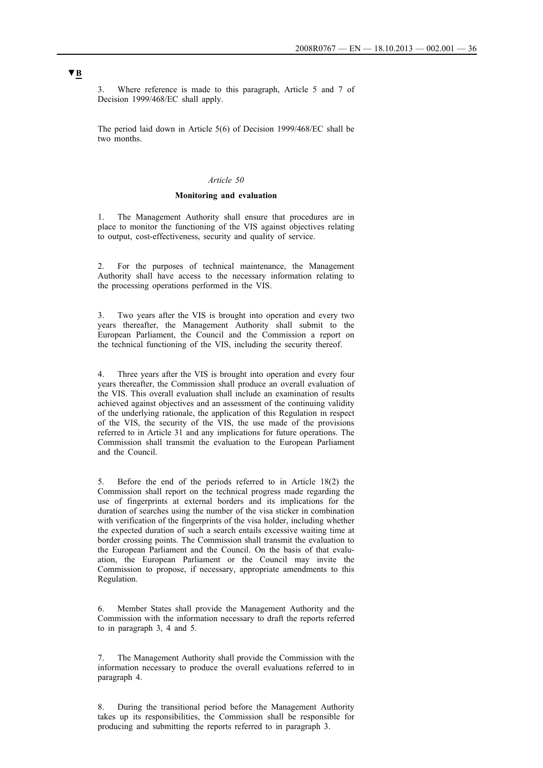Where reference is made to this paragraph, Article 5 and 7 of Decision 1999/468/EC shall apply.

The period laid down in Article 5(6) of Decision 1999/468/EC shall be two months.

#### *Article 50*

### **Monitoring and evaluation**

1. The Management Authority shall ensure that procedures are in place to monitor the functioning of the VIS against objectives relating to output, cost-effectiveness, security and quality of service.

2. For the purposes of technical maintenance, the Management Authority shall have access to the necessary information relating to the processing operations performed in the VIS.

3. Two years after the VIS is brought into operation and every two years thereafter, the Management Authority shall submit to the European Parliament, the Council and the Commission a report on the technical functioning of the VIS, including the security thereof.

4. Three years after the VIS is brought into operation and every four years thereafter, the Commission shall produce an overall evaluation of the VIS. This overall evaluation shall include an examination of results achieved against objectives and an assessment of the continuing validity of the underlying rationale, the application of this Regulation in respect of the VIS, the security of the VIS, the use made of the provisions referred to in Article 31 and any implications for future operations. The Commission shall transmit the evaluation to the European Parliament and the Council.

5. Before the end of the periods referred to in Article 18(2) the Commission shall report on the technical progress made regarding the use of fingerprints at external borders and its implications for the duration of searches using the number of the visa sticker in combination with verification of the fingerprints of the visa holder, including whether the expected duration of such a search entails excessive waiting time at border crossing points. The Commission shall transmit the evaluation to the European Parliament and the Council. On the basis of that evaluation, the European Parliament or the Council may invite the Commission to propose, if necessary, appropriate amendments to this Regulation.

6. Member States shall provide the Management Authority and the Commission with the information necessary to draft the reports referred to in paragraph 3, 4 and 5.

The Management Authority shall provide the Commission with the information necessary to produce the overall evaluations referred to in paragraph 4.

8. During the transitional period before the Management Authority takes up its responsibilities, the Commission shall be responsible for producing and submitting the reports referred to in paragraph 3.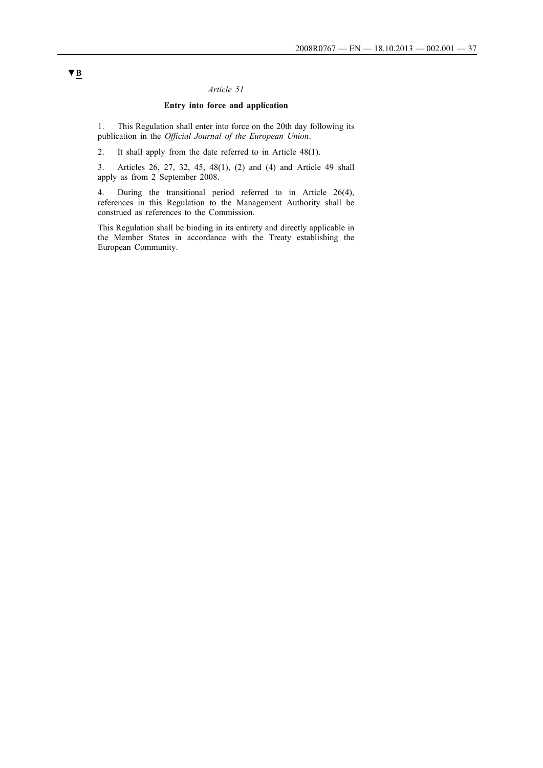## **Entry into force and application**

1. This Regulation shall enter into force on the 20th day following its publication in the *Official Journal of the European Union*.

2. It shall apply from the date referred to in Article 48(1).

3. Articles 26, 27, 32, 45, 48(1), (2) and (4) and Article 49 shall apply as from 2 September 2008.

4. During the transitional period referred to in Article 26(4), references in this Regulation to the Management Authority shall be construed as references to the Commission.

This Regulation shall be binding in its entirety and directly applicable in the Member States in accordance with the Treaty establishing the European Community.